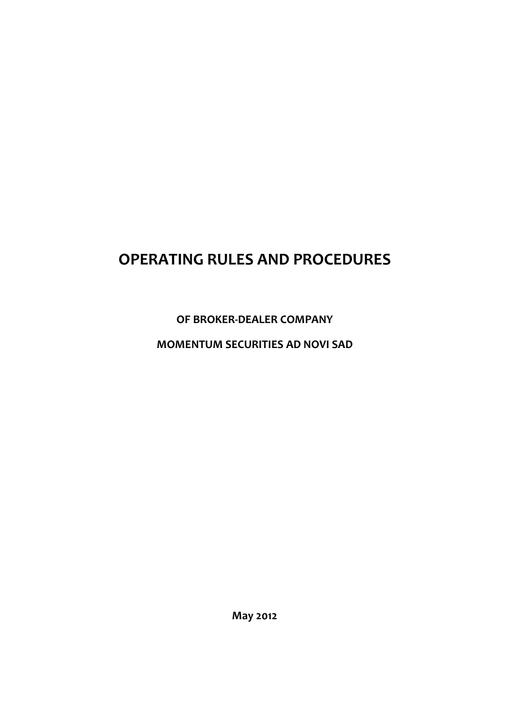# OPERATING RULES AND PROCEDURES

# OF BROKER-DEALER COMPANY

# MOMENTUM SECURITIES AD NOVI SAD

May 2012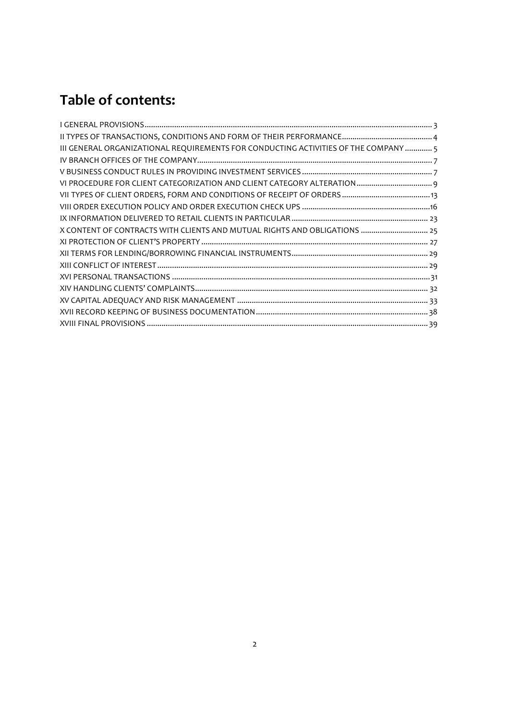# Table of contents:

| III GENERAL ORGANIZATIONAL REQUIREMENTS FOR CONDUCTING ACTIVITIES OF THE COMPANY  5 |  |
|-------------------------------------------------------------------------------------|--|
|                                                                                     |  |
|                                                                                     |  |
|                                                                                     |  |
|                                                                                     |  |
|                                                                                     |  |
|                                                                                     |  |
| X CONTENT OF CONTRACTS WITH CLIENTS AND MUTUAL RIGHTS AND OBLIGATIONS  25           |  |
|                                                                                     |  |
|                                                                                     |  |
|                                                                                     |  |
|                                                                                     |  |
|                                                                                     |  |
|                                                                                     |  |
|                                                                                     |  |
|                                                                                     |  |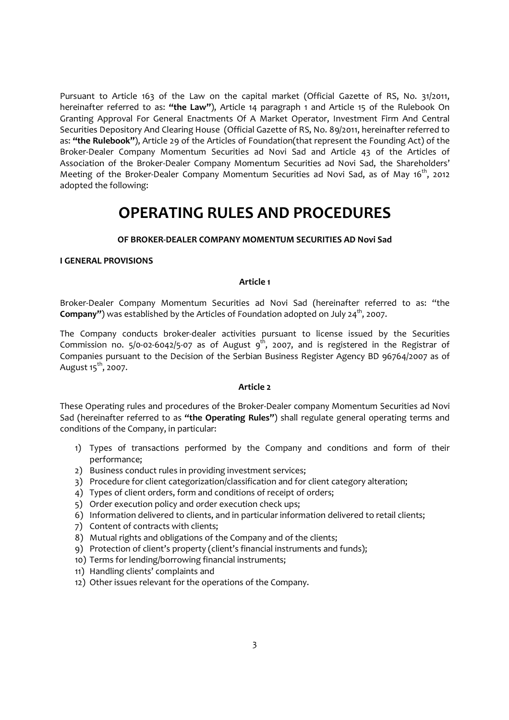Pursuant to Article 163 of the Law on the capital market (Official Gazette of RS, No. 31/2011, hereinafter referred to as: "the Law"), Article 14 paragraph 1 and Article 15 of the Rulebook On Granting Approval For General Enactments Of A Market Operator, Investment Firm And Central Securities Depository And Clearing House (Official Gazette of RS, No. 89/2011, hereinafter referred to as: "the Rulebook"), Article 29 of the Articles of Foundation(that represent the Founding Act) of the Broker-Dealer Company Momentum Securities ad Novi Sad and Article 43 of the Articles of Association of the Broker-Dealer Company Momentum Securities ad Novi Sad, the Shareholders' Meeting of the Broker-Dealer Company Momentum Securities ad Novi Sad, as of May  $16^{th}$ , 2012 adopted the following:

# OPERATING RULES AND PROCEDURES

# OF BROKER-DEALER COMPANY MOMENTUM SECURITIES AD Novi Sad

#### I GENERAL PROVISIONS

#### Article 1

Broker-Dealer Company Momentum Securities ad Novi Sad (hereinafter referred to as: "the **Company"**) was established by the Articles of Foundation adopted on July 24<sup>th</sup>, 2007.

The Company conducts broker-dealer activities pursuant to license issued by the Securities Commission no.  $5/0$ -02-6042/5-07 as of August  $9^{th}$ , 2007, and is registered in the Registrar of Companies pursuant to the Decision of the Serbian Business Register Agency BD 96764/2007 as of August  $15^{th}$ , 2007.

#### Article 2

These Operating rules and procedures of the Broker-Dealer company Momentum Securities ad Novi Sad (hereinafter referred to as "the Operating Rules") shall regulate general operating terms and conditions of the Company, in particular:

- 1) Types of transactions performed by the Company and conditions and form of their performance;
- 2) Business conduct rules in providing investment services;
- 3) Procedure for client categorization/classification and for client category alteration;
- 4) Types of client orders, form and conditions of receipt of orders;
- 5) Order execution policy and order execution check ups;
- 6) Information delivered to clients, and in particular information delivered to retail clients;
- 7) Content of contracts with clients;
- 8) Mutual rights and obligations of the Company and of the clients;
- 9) Protection of client's property (client's financial instruments and funds);
- 10) Terms for lending/borrowing financial instruments;
- 11) Handling clients' complaints and
- 12) Other issues relevant for the operations of the Company.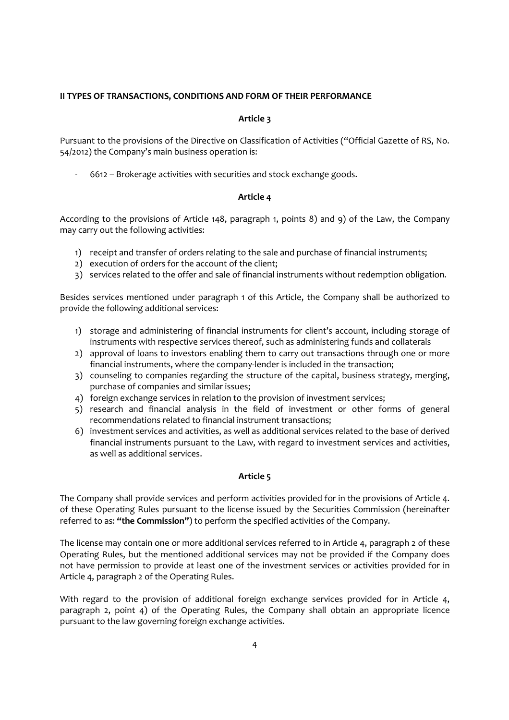# II TYPES OF TRANSACTIONS, CONDITIONS AND FORM OF THEIR PERFORMANCE

# Article 3

Pursuant to the provisions of the Directive on Classification of Activities ("Official Gazette of RS, No. 54/2012) the Company's main business operation is:

- 6612 – Brokerage activities with securities and stock exchange goods.

# Article 4

According to the provisions of Article 148, paragraph 1, points 8) and 9) of the Law, the Company may carry out the following activities:

- 1) receipt and transfer of orders relating to the sale and purchase of financial instruments;
- 2) execution of orders for the account of the client;
- 3) services related to the offer and sale of financial instruments without redemption obligation.

Besides services mentioned under paragraph 1 of this Article, the Company shall be authorized to provide the following additional services:

- 1) storage and administering of financial instruments for client's account, including storage of instruments with respective services thereof, such as administering funds and collaterals
- 2) approval of loans to investors enabling them to carry out transactions through one or more financial instruments, where the company-lender is included in the transaction;
- 3) counseling to companies regarding the structure of the capital, business strategy, merging, purchase of companies and similar issues;
- 4) foreign exchange services in relation to the provision of investment services;
- 5) research and financial analysis in the field of investment or other forms of general recommendations related to financial instrument transactions;
- 6) investment services and activities, as well as additional services related to the base of derived financial instruments pursuant to the Law, with regard to investment services and activities, as well as additional services.

# Article 5

The Company shall provide services and perform activities provided for in the provisions of Article 4. of these Operating Rules pursuant to the license issued by the Securities Commission (hereinafter referred to as: "the Commission") to perform the specified activities of the Company.

The license may contain one or more additional services referred to in Article 4, paragraph 2 of these Operating Rules, but the mentioned additional services may not be provided if the Company does not have permission to provide at least one of the investment services or activities provided for in Article 4, paragraph 2 of the Operating Rules.

With regard to the provision of additional foreign exchange services provided for in Article 4, paragraph 2, point 4) of the Operating Rules, the Company shall obtain an appropriate licence pursuant to the law governing foreign exchange activities.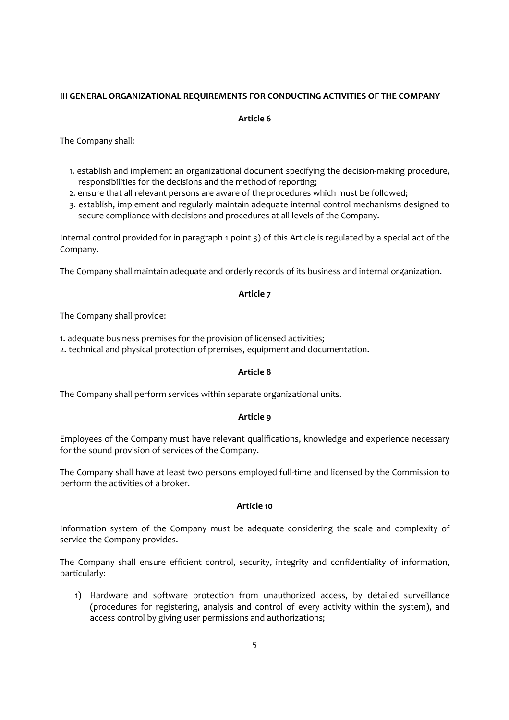# III GENERAL ORGANIZATIONAL REQUIREMENTS FOR CONDUCTING ACTIVITIES OF THE COMPANY

#### Article 6

The Company shall:

- 1. establish and implement an organizational document specifying the decision-making procedure, responsibilities for the decisions and the method of reporting;
- 2. ensure that all relevant persons are aware of the procedures which must be followed;
- 3. establish, implement and regularly maintain adequate internal control mechanisms designed to secure compliance with decisions and procedures at all levels of the Company.

Internal control provided for in paragraph 1 point 3) of this Article is regulated by a special act of the Company.

The Company shall maintain adequate and orderly records of its business and internal organization.

#### Article 7

The Company shall provide:

- 1. adequate business premises for the provision of licensed activities;
- 2. technical and physical protection of premises, equipment and documentation.

#### Article 8

The Company shall perform services within separate organizational units.

#### Article 9

Employees of the Company must have relevant qualifications, knowledge and experience necessary for the sound provision of services of the Company.

The Company shall have at least two persons employed full-time and licensed by the Commission to perform the activities of a broker.

#### Article 10

Information system of the Company must be adequate considering the scale and complexity of service the Company provides.

The Company shall ensure efficient control, security, integrity and confidentiality of information, particularly:

1) Hardware and software protection from unauthorized access, by detailed surveillance (procedures for registering, analysis and control of every activity within the system), and access control by giving user permissions and authorizations;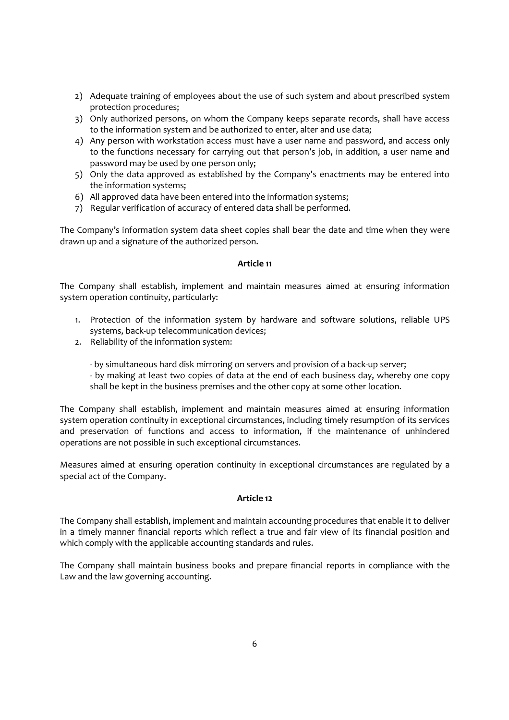- 2) Adequate training of employees about the use of such system and about prescribed system protection procedures;
- 3) Only authorized persons, on whom the Company keeps separate records, shall have access to the information system and be authorized to enter, alter and use data;
- 4) Any person with workstation access must have a user name and password, and access only to the functions necessary for carrying out that person's job, in addition, a user name and password may be used by one person only;
- 5) Only the data approved as established by the Company's enactments may be entered into the information systems;
- 6) All approved data have been entered into the information systems;
- 7) Regular verification of accuracy of entered data shall be performed.

The Company's information system data sheet copies shall bear the date and time when they were drawn up and a signature of the authorized person.

#### Article 11

The Company shall establish, implement and maintain measures aimed at ensuring information system operation continuity, particularly:

- 1. Protection of the information system by hardware and software solutions, reliable UPS systems, back-up telecommunication devices;
- 2. Reliability of the information system:
	- by simultaneous hard disk mirroring on servers and provision of a back-up server;
	- by making at least two copies of data at the end of each business day, whereby one copy shall be kept in the business premises and the other copy at some other location.

The Company shall establish, implement and maintain measures aimed at ensuring information system operation continuity in exceptional circumstances, including timely resumption of its services and preservation of functions and access to information, if the maintenance of unhindered operations are not possible in such exceptional circumstances.

Measures aimed at ensuring operation continuity in exceptional circumstances are regulated by a special act of the Company.

# Article 12

The Company shall establish, implement and maintain accounting procedures that enable it to deliver in a timely manner financial reports which reflect a true and fair view of its financial position and which comply with the applicable accounting standards and rules.

The Company shall maintain business books and prepare financial reports in compliance with the Law and the law governing accounting.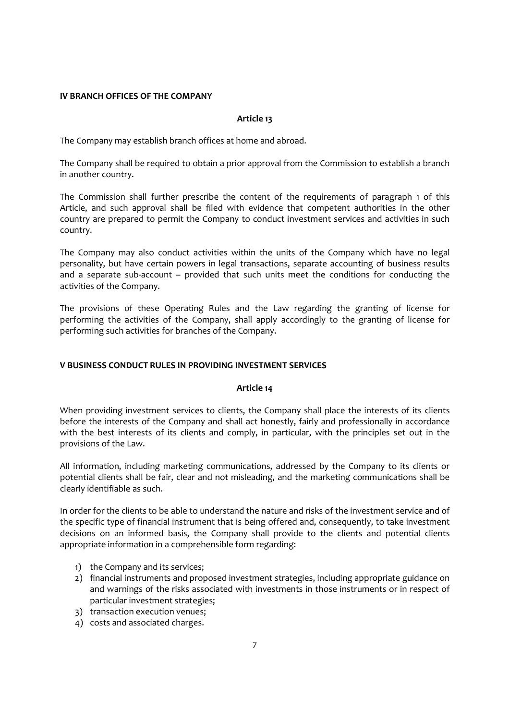#### IV BRANCH OFFICES OF THE COMPANY

#### Article 13

The Company may establish branch offices at home and abroad.

The Company shall be required to obtain a prior approval from the Commission to establish a branch in another country.

The Commission shall further prescribe the content of the requirements of paragraph 1 of this Article, and such approval shall be filed with evidence that competent authorities in the other country are prepared to permit the Company to conduct investment services and activities in such country.

The Company may also conduct activities within the units of the Company which have no legal personality, but have certain powers in legal transactions, separate accounting of business results and a separate sub-account – provided that such units meet the conditions for conducting the activities of the Company.

The provisions of these Operating Rules and the Law regarding the granting of license for performing the activities of the Company, shall apply accordingly to the granting of license for performing such activities for branches of the Company.

# V BUSINESS CONDUCT RULES IN PROVIDING INVESTMENT SERVICES

#### Article 14

When providing investment services to clients, the Company shall place the interests of its clients before the interests of the Company and shall act honestly, fairly and professionally in accordance with the best interests of its clients and comply, in particular, with the principles set out in the provisions of the Law.

All information, including marketing communications, addressed by the Company to its clients or potential clients shall be fair, clear and not misleading, and the marketing communications shall be clearly identifiable as such.

In order for the clients to be able to understand the nature and risks of the investment service and of the specific type of financial instrument that is being offered and, consequently, to take investment decisions on an informed basis, the Company shall provide to the clients and potential clients appropriate information in a comprehensible form regarding:

- 1) the Company and its services;
- 2) financial instruments and proposed investment strategies, including appropriate guidance on and warnings of the risks associated with investments in those instruments or in respect of particular investment strategies;
- 3) transaction execution venues;
- 4) costs and associated charges.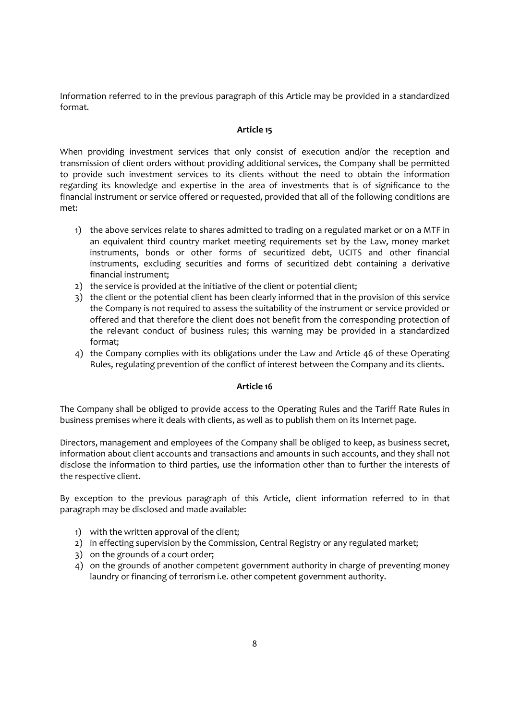Information referred to in the previous paragraph of this Article may be provided in a standardized format.

# Article 15

When providing investment services that only consist of execution and/or the reception and transmission of client orders without providing additional services, the Company shall be permitted to provide such investment services to its clients without the need to obtain the information regarding its knowledge and expertise in the area of investments that is of significance to the financial instrument or service offered or requested, provided that all of the following conditions are met:

- 1) the above services relate to shares admitted to trading on a regulated market or on a MTF in an equivalent third country market meeting requirements set by the Law, money market instruments, bonds or other forms of securitized debt, UCITS and other financial instruments, excluding securities and forms of securitized debt containing a derivative financial instrument;
- 2) the service is provided at the initiative of the client or potential client;
- 3) the client or the potential client has been clearly informed that in the provision of this service the Company is not required to assess the suitability of the instrument or service provided or offered and that therefore the client does not benefit from the corresponding protection of the relevant conduct of business rules; this warning may be provided in a standardized format;
- 4) the Company complies with its obligations under the Law and Article 46 of these Operating Rules, regulating prevention of the conflict of interest between the Company and its clients.

# Article 16

The Company shall be obliged to provide access to the Operating Rules and the Tariff Rate Rules in business premises where it deals with clients, as well as to publish them on its Internet page.

Directors, management and employees of the Company shall be obliged to keep, as business secret, information about client accounts and transactions and amounts in such accounts, and they shall not disclose the information to third parties, use the information other than to further the interests of the respective client.

By exception to the previous paragraph of this Article, client information referred to in that paragraph may be disclosed and made available:

- 1) with the written approval of the client;
- 2) in effecting supervision by the Commission, Central Registry or any regulated market;
- 3) on the grounds of a court order;
- 4) on the grounds of another competent government authority in charge of preventing money laundry or financing of terrorism i.e. other competent government authority.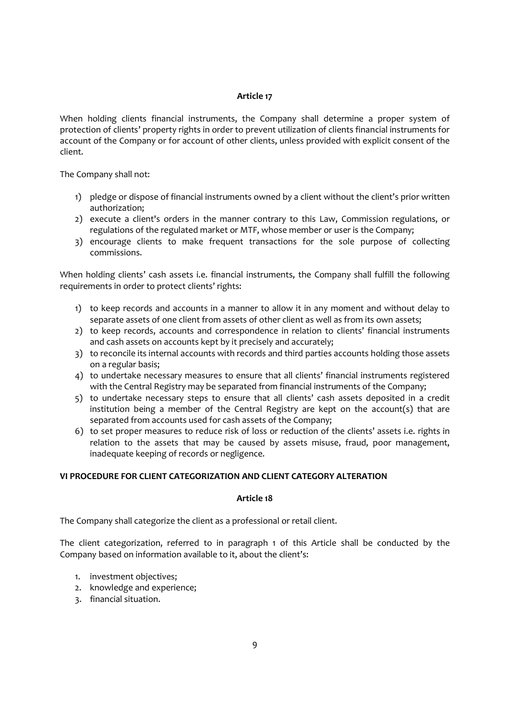# Article 17

When holding clients financial instruments, the Company shall determine a proper system of protection of clients' property rights in order to prevent utilization of clients financial instruments for account of the Company or for account of other clients, unless provided with explicit consent of the client.

The Company shall not:

- 1) pledge or dispose of financial instruments owned by a client without the client's prior written authorization;
- 2) execute a client's orders in the manner contrary to this Law, Commission regulations, or regulations of the regulated market or MTF, whose member or user is the Company;
- 3) encourage clients to make frequent transactions for the sole purpose of collecting commissions.

When holding clients' cash assets i.e. financial instruments, the Company shall fulfill the following requirements in order to protect clients' rights:

- 1) to keep records and accounts in a manner to allow it in any moment and without delay to separate assets of one client from assets of other client as well as from its own assets;
- 2) to keep records, accounts and correspondence in relation to clients' financial instruments and cash assets on accounts kept by it precisely and accurately;
- 3) to reconcile its internal accounts with records and third parties accounts holding those assets on a regular basis;
- 4) to undertake necessary measures to ensure that all clients' financial instruments registered with the Central Registry may be separated from financial instruments of the Company;
- 5) to undertake necessary steps to ensure that all clients' cash assets deposited in a credit institution being a member of the Central Registry are kept on the account(s) that are separated from accounts used for cash assets of the Company;
- 6) to set proper measures to reduce risk of loss or reduction of the clients' assets i.e. rights in relation to the assets that may be caused by assets misuse, fraud, poor management, inadequate keeping of records or negligence.

# VI PROCEDURE FOR CLIENT CATEGORIZATION AND CLIENT CATEGORY ALTERATION

#### Article 18

The Company shall categorize the client as a professional or retail client.

The client categorization, referred to in paragraph 1 of this Article shall be conducted by the Company based on information available to it, about the client's:

- 1. investment objectives;
- 2. knowledge and experience;
- 3. financial situation.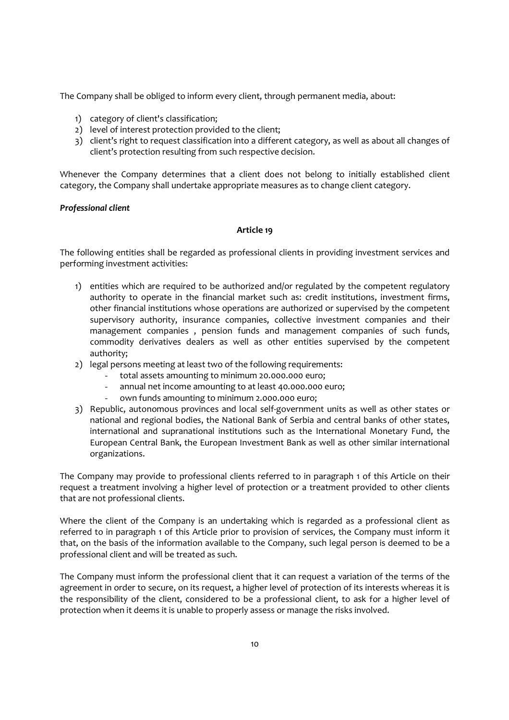The Company shall be obliged to inform every client, through permanent media, about:

- 1) category of client's classification;
- 2) level of interest protection provided to the client;
- 3) client's right to request classification into a different category, as well as about all changes of client's protection resulting from such respective decision.

Whenever the Company determines that a client does not belong to initially established client category, the Company shall undertake appropriate measures as to change client category.

#### Professional client

#### Article 19

The following entities shall be regarded as professional clients in providing investment services and performing investment activities:

- 1) entities which are required to be authorized and/or regulated by the competent regulatory authority to operate in the financial market such as: credit institutions, investment firms, other financial institutions whose operations are authorized or supervised by the competent supervisory authority, insurance companies, collective investment companies and their management companies , pension funds and management companies of such funds, commodity derivatives dealers as well as other entities supervised by the competent authority;
- 2) legal persons meeting at least two of the following requirements:
	- total assets amounting to minimum 20.000.000 euro;
	- annual net income amounting to at least 40.000.000 euro;
	- own funds amounting to minimum 2.000.000 euro;
- 3) Republic, autonomous provinces and local self-government units as well as other states or national and regional bodies, the National Bank of Serbia and central banks of other states, international and supranational institutions such as the International Monetary Fund, the European Central Bank, the European Investment Bank as well as other similar international organizations.

The Company may provide to professional clients referred to in paragraph 1 of this Article on their request a treatment involving a higher level of protection or a treatment provided to other clients that are not professional clients.

Where the client of the Company is an undertaking which is regarded as a professional client as referred to in paragraph 1 of this Article prior to provision of services, the Company must inform it that, on the basis of the information available to the Company, such legal person is deemed to be a professional client and will be treated as such.

The Company must inform the professional client that it can request a variation of the terms of the agreement in order to secure, on its request, a higher level of protection of its interests whereas it is the responsibility of the client, considered to be a professional client, to ask for a higher level of protection when it deems it is unable to properly assess or manage the risks involved.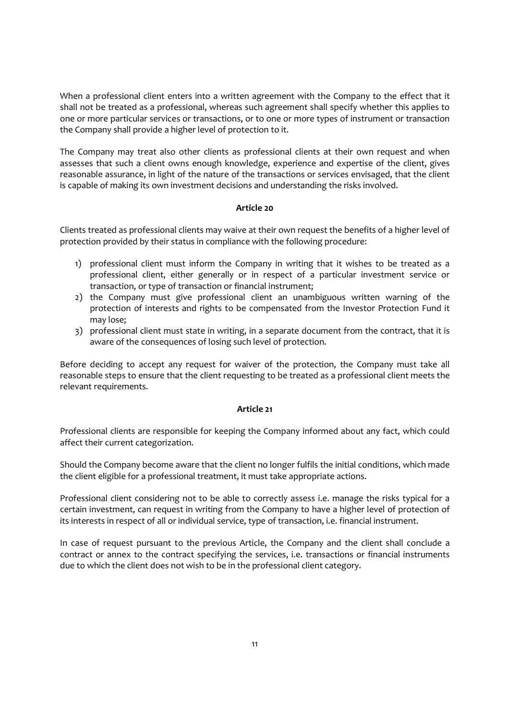When a professional client enters into a written agreement with the Company to the effect that it shall not be treated as a professional, whereas such agreement shall specify whether this applies to one or more particular services or transactions, or to one or more types of instrument or transaction the Company shall provide a higher level of protection to it.

The Company may treat also other clients as professional clients at their own request and when assesses that such a client owns enough knowledge, experience and expertise of the client, gives reasonable assurance, in light of the nature of the transactions or services envisaged, that the client is capable of making its own investment decisions and understanding the risks involved.

# Article 20

Clients treated as professional clients may waive at their own request the benefits of a higher level of protection provided by their status in compliance with the following procedure:

- 1) professional client must inform the Company in writing that it wishes to be treated as a professional client, either generally or in respect of a particular investment service or transaction, or type of transaction or financial instrument;
- 2) the Company must give professional client an unambiguous written warning of the protection of interests and rights to be compensated from the Investor Protection Fund it may lose;
- 3) professional client must state in writing, in a separate document from the contract, that it is aware of the consequences of losing such level of protection.

Before deciding to accept any request for waiver of the protection, the Company must take all reasonable steps to ensure that the client requesting to be treated as a professional client meets the relevant requirements.

#### Article 21

Professional clients are responsible for keeping the Company informed about any fact, which could affect their current categorization.

Should the Company become aware that the client no longer fulfils the initial conditions, which made the client eligible for a professional treatment, it must take appropriate actions.

Professional client considering not to be able to correctly assess i.e. manage the risks typical for a certain investment, can request in writing from the Company to have a higher level of protection of its interests in respect of all or individual service, type of transaction, i.e. financial instrument.

In case of request pursuant to the previous Article, the Company and the client shall conclude a contract or annex to the contract specifying the services, i.e. transactions or financial instruments due to which the client does not wish to be in the professional client category.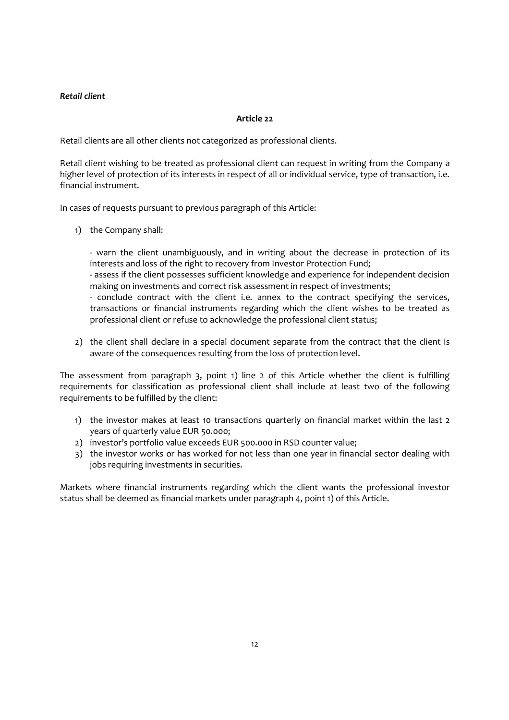# Retail client

# Article 22

Retail clients are all other clients not categorized as professional clients.

Retail client wishing to be treated as professional client can request in writing from the Company a higher level of protection of its interests in respect of all or individual service, type of transaction, i.e. financial instrument.

In cases of requests pursuant to previous paragraph of this Article:

1) the Company shall:

- warn the client unambiguously, and in writing about the decrease in protection of its interests and loss of the right to recovery from Investor Protection Fund;

- assess if the client possesses sufficient knowledge and experience for independent decision making on investments and correct risk assessment in respect of investments;

- conclude contract with the client i.e. annex to the contract specifying the services, transactions or financial instruments regarding which the client wishes to be treated as professional client or refuse to acknowledge the professional client status;

2) the client shall declare in a special document separate from the contract that the client is aware of the consequences resulting from the loss of protection level.

The assessment from paragraph 3, point 1) line 2 of this Article whether the client is fulfilling requirements for classification as professional client shall include at least two of the following requirements to be fulfilled by the client:

- 1) the investor makes at least 10 transactions quarterly on financial market within the last 2 years of quarterly value EUR 50.000;
- 2) investor's portfolio value exceeds EUR 500.000 in RSD counter value;
- 3) the investor works or has worked for not less than one year in financial sector dealing with jobs requiring investments in securities.

Markets where financial instruments regarding which the client wants the professional investor status shall be deemed as financial markets under paragraph 4, point 1) of this Article.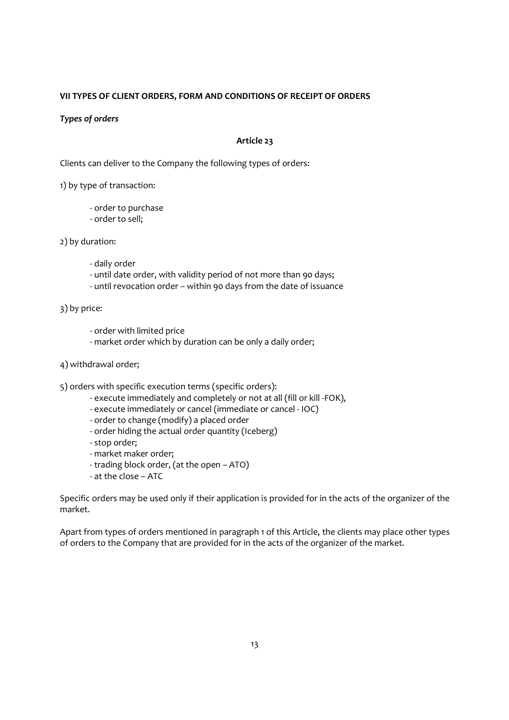# VII TYPES OF CLIENT ORDERS, FORM AND CONDITIONS OF RECEIPT OF ORDERS

#### Types of orders

# Article 23

Clients can deliver to the Company the following types of orders:

1) by type of transaction:

- order to purchase
- order to sell;

2) by duration:

- daily order
- until date order, with validity period of not more than 90 days;
- until revocation order within 90 days from the date of issuance

3) by price:

- order with limited price
- market order which by duration can be only a daily order;
- 4) withdrawal order;

5) orders with specific execution terms (specific orders):

- execute immediately and completely or not at all (fill or kill -FOK),
- execute immediately or cancel (immediate or cancel IOC)
- order to change (modify) a placed order
- order hiding the actual order quantity (Iceberg)
- stop order;
- market maker order;
- trading block order, (at the open ATO)
- at the close ATC

Specific orders may be used only if their application is provided for in the acts of the organizer of the market.

Apart from types of orders mentioned in paragraph 1 of this Article, the clients may place other types of orders to the Company that are provided for in the acts of the organizer of the market.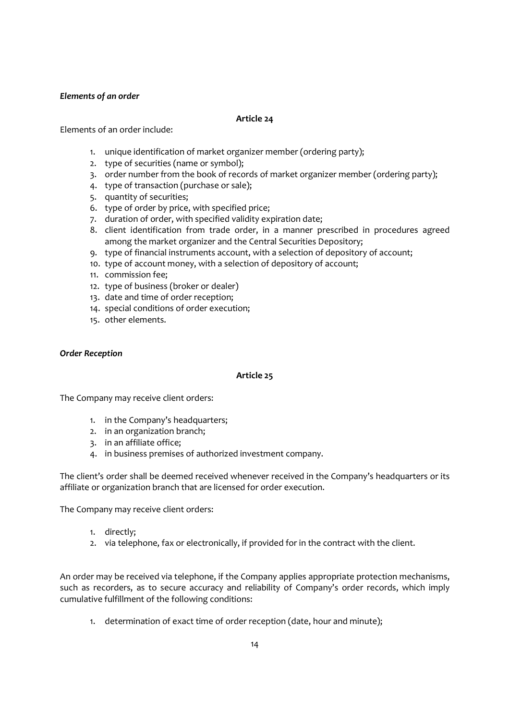# Elements of an order

# Article 24

Elements of an order include:

- 1. unique identification of market organizer member (ordering party);
- 2. type of securities (name or symbol);
- 3. order number from the book of records of market organizer member (ordering party);
- 4. type of transaction (purchase or sale);
- 5. quantity of securities;
- 6. type of order by price, with specified price;
- 7. duration of order, with specified validity expiration date;
- 8. client identification from trade order, in a manner prescribed in procedures agreed among the market organizer and the Central Securities Depository;
- 9. type of financial instruments account, with a selection of depository of account;
- 10. type of account money, with a selection of depository of account;
- 11. commission fee;
- 12. type of business (broker or dealer)
- 13. date and time of order reception;
- 14. special conditions of order execution;
- 15. other elements.

#### Order Reception

# Article 25

The Company may receive client orders:

- 1. in the Company's headquarters;
- 2. in an organization branch;
- 3. in an affiliate office;
- 4. in business premises of authorized investment company.

The client's order shall be deemed received whenever received in the Company's headquarters or its affiliate or organization branch that are licensed for order execution.

The Company may receive client orders:

- 1. directly;
- 2. via telephone, fax or electronically, if provided for in the contract with the client.

An order may be received via telephone, if the Company applies appropriate protection mechanisms, such as recorders, as to secure accuracy and reliability of Company's order records, which imply cumulative fulfillment of the following conditions:

1. determination of exact time of order reception (date, hour and minute);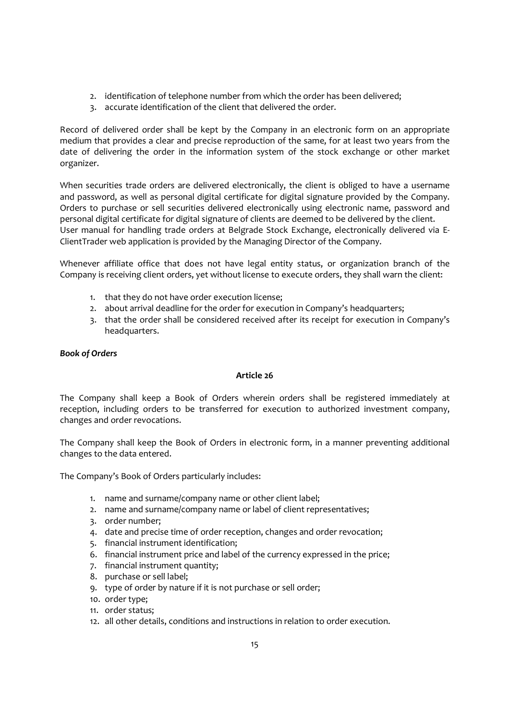- 2. identification of telephone number from which the order has been delivered;
- 3. accurate identification of the client that delivered the order.

Record of delivered order shall be kept by the Company in an electronic form on an appropriate medium that provides a clear and precise reproduction of the same, for at least two years from the date of delivering the order in the information system of the stock exchange or other market organizer.

When securities trade orders are delivered electronically, the client is obliged to have a username and password, as well as personal digital certificate for digital signature provided by the Company. Orders to purchase or sell securities delivered electronically using electronic name, password and personal digital certificate for digital signature of clients are deemed to be delivered by the client. User manual for handling trade orders at Belgrade Stock Exchange, electronically delivered via E-ClientTrader web application is provided by the Managing Director of the Company.

Whenever affiliate office that does not have legal entity status, or organization branch of the Company is receiving client orders, yet without license to execute orders, they shall warn the client:

- 1. that they do not have order execution license;
- 2. about arrival deadline for the order for execution in Company's headquarters;
- 3. that the order shall be considered received after its receipt for execution in Company's headquarters.

# Book of Orders

# Article 26

The Company shall keep a Book of Orders wherein orders shall be registered immediately at reception, including orders to be transferred for execution to authorized investment company, changes and order revocations.

The Company shall keep the Book of Orders in electronic form, in a manner preventing additional changes to the data entered.

The Company's Book of Orders particularly includes:

- 1. name and surname/company name or other client label;
- 2. name and surname/company name or label of client representatives;
- 3. order number;
- 4. date and precise time of order reception, changes and order revocation;
- 5. financial instrument identification;
- 6. financial instrument price and label of the currency expressed in the price;
- 7. financial instrument quantity;
- 8. purchase or sell label;
- 9. type of order by nature if it is not purchase or sell order;
- 10. order type;
- 11. order status;
- 12. all other details, conditions and instructions in relation to order execution.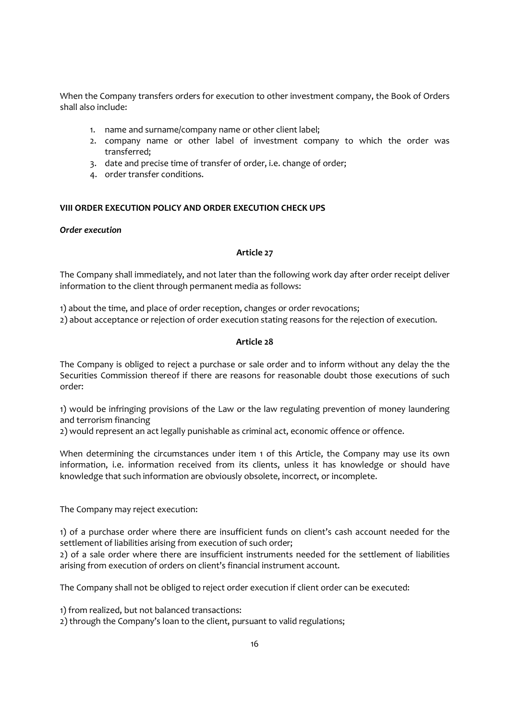When the Company transfers orders for execution to other investment company, the Book of Orders shall also include:

- 1. name and surname/company name or other client label;
- 2. company name or other label of investment company to which the order was transferred;
- 3. date and precise time of transfer of order, i.e. change of order;
- 4. order transfer conditions.

# VIII ORDER EXECUTION POLICY AND ORDER EXECUTION CHECK UPS

#### Order execution

#### Article 27

The Company shall immediately, and not later than the following work day after order receipt deliver information to the client through permanent media as follows:

1) about the time, and place of order reception, changes or order revocations; 2) about acceptance or rejection of order execution stating reasons for the rejection of execution.

#### Article 28

The Company is obliged to reject a purchase or sale order and to inform without any delay the the Securities Commission thereof if there are reasons for reasonable doubt those executions of such order:

1) would be infringing provisions of the Law or the law regulating prevention of money laundering and terrorism financing

2) would represent an act legally punishable as criminal act, economic offence or offence.

When determining the circumstances under item 1 of this Article, the Company may use its own information, i.e. information received from its clients, unless it has knowledge or should have knowledge that such information are obviously obsolete, incorrect, or incomplete.

The Company may reject execution:

1) of a purchase order where there are insufficient funds on client's cash account needed for the settlement of liabilities arising from execution of such order;

2) of a sale order where there are insufficient instruments needed for the settlement of liabilities arising from execution of orders on client's financial instrument account.

The Company shall not be obliged to reject order execution if client order can be executed:

1) from realized, but not balanced transactions:

2) through the Company's loan to the client, pursuant to valid regulations;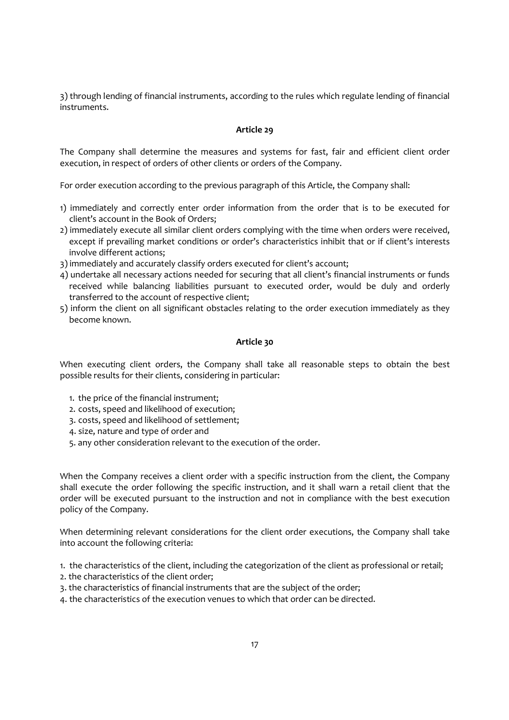3) through lending of financial instruments, according to the rules which regulate lending of financial instruments.

# Article 29

The Company shall determine the measures and systems for fast, fair and efficient client order execution, in respect of orders of other clients or orders of the Company.

For order execution according to the previous paragraph of this Article, the Company shall:

- 1) immediately and correctly enter order information from the order that is to be executed for client's account in the Book of Orders;
- 2) immediately execute all similar client orders complying with the time when orders were received, except if prevailing market conditions or order's characteristics inhibit that or if client's interests involve different actions;
- 3) immediately and accurately classify orders executed for client's account;
- 4) undertake all necessary actions needed for securing that all client's financial instruments or funds received while balancing liabilities pursuant to executed order, would be duly and orderly transferred to the account of respective client;
- 5) inform the client on all significant obstacles relating to the order execution immediately as they become known.

#### Article 30

When executing client orders, the Company shall take all reasonable steps to obtain the best possible results for their clients, considering in particular:

- 1. the price of the financial instrument;
- 2. costs, speed and likelihood of execution;
- 3. costs, speed and likelihood of settlement;
- 4. size, nature and type of order and
- 5. any other consideration relevant to the execution of the order.

When the Company receives a client order with a specific instruction from the client, the Company shall execute the order following the specific instruction, and it shall warn a retail client that the order will be executed pursuant to the instruction and not in compliance with the best execution policy of the Company.

When determining relevant considerations for the client order executions, the Company shall take into account the following criteria:

1. the characteristics of the client, including the categorization of the client as professional or retail;

- 2. the characteristics of the client order;
- 3. the characteristics of financial instruments that are the subject of the order;
- 4. the characteristics of the execution venues to which that order can be directed.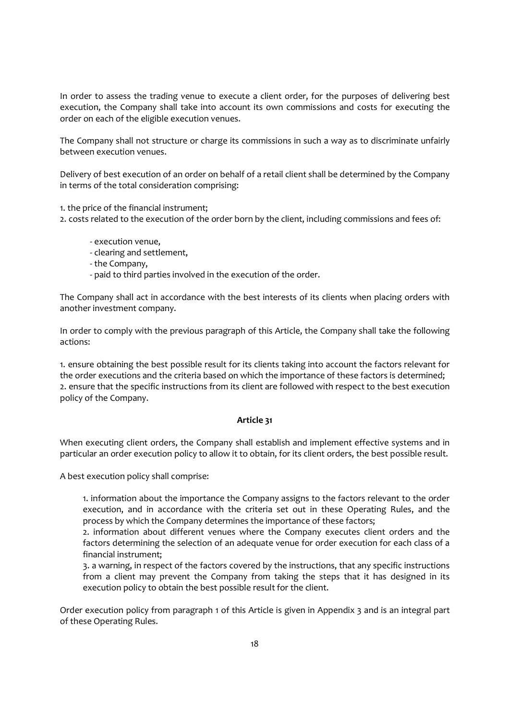In order to assess the trading venue to execute a client order, for the purposes of delivering best execution, the Company shall take into account its own commissions and costs for executing the order on each of the eligible execution venues.

The Company shall not structure or charge its commissions in such a way as to discriminate unfairly between execution venues.

Delivery of best execution of an order on behalf of a retail client shall be determined by the Company in terms of the total consideration comprising:

1. the price of the financial instrument;

2. costs related to the execution of the order born by the client, including commissions and fees of:

- execution venue,
- clearing and settlement,
- the Company,
- paid to third parties involved in the execution of the order.

The Company shall act in accordance with the best interests of its clients when placing orders with another investment company.

In order to comply with the previous paragraph of this Article, the Company shall take the following actions:

1. ensure obtaining the best possible result for its clients taking into account the factors relevant for the order executions and the criteria based on which the importance of these factors is determined; 2. ensure that the specific instructions from its client are followed with respect to the best execution policy of the Company.

# Article 31

When executing client orders, the Company shall establish and implement effective systems and in particular an order execution policy to allow it to obtain, for its client orders, the best possible result.

A best execution policy shall comprise:

1. information about the importance the Company assigns to the factors relevant to the order execution, and in accordance with the criteria set out in these Operating Rules, and the process by which the Company determines the importance of these factors;

2. information about different venues where the Company executes client orders and the factors determining the selection of an adequate venue for order execution for each class of a financial instrument;

3. a warning, in respect of the factors covered by the instructions, that any specific instructions from a client may prevent the Company from taking the steps that it has designed in its execution policy to obtain the best possible result for the client.

Order execution policy from paragraph 1 of this Article is given in Appendix 3 and is an integral part of these Operating Rules.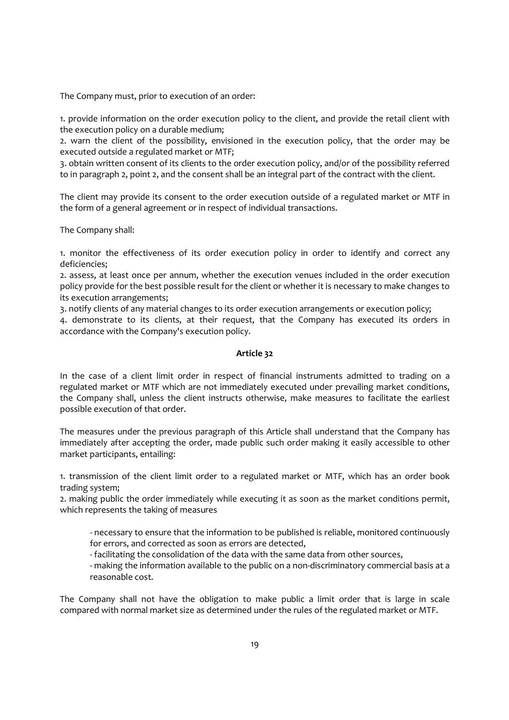The Company must, prior to execution of an order:

1. provide information on the order execution policy to the client, and provide the retail client with the execution policy on a durable medium;

2. warn the client of the possibility, envisioned in the execution policy, that the order may be executed outside a regulated market or MTF;

3. obtain written consent of its clients to the order execution policy, and/or of the possibility referred to in paragraph 2, point 2, and the consent shall be an integral part of the contract with the client.

The client may provide its consent to the order execution outside of a regulated market or MTF in the form of a general agreement or in respect of individual transactions.

The Company shall:

1. monitor the effectiveness of its order execution policy in order to identify and correct any deficiencies;

2. assess, at least once per annum, whether the execution venues included in the order execution policy provide for the best possible result for the client or whether it is necessary to make changes to its execution arrangements;

3. notify clients of any material changes to its order execution arrangements or execution policy;

4. demonstrate to its clients, at their request, that the Company has executed its orders in accordance with the Company's execution policy.

#### Article 32

In the case of a client limit order in respect of financial instruments admitted to trading on a regulated market or MTF which are not immediately executed under prevailing market conditions, the Company shall, unless the client instructs otherwise, make measures to facilitate the earliest possible execution of that order.

The measures under the previous paragraph of this Article shall understand that the Company has immediately after accepting the order, made public such order making it easily accessible to other market participants, entailing:

1. transmission of the client limit order to a regulated market or MTF, which has an order book trading system;

2. making public the order immediately while executing it as soon as the market conditions permit, which represents the taking of measures

- necessary to ensure that the information to be published is reliable, monitored continuously for errors, and corrected as soon as errors are detected,

- facilitating the consolidation of the data with the same data from other sources,

- making the information available to the public on a non-discriminatory commercial basis at a reasonable cost.

The Company shall not have the obligation to make public a limit order that is large in scale compared with normal market size as determined under the rules of the regulated market or MTF.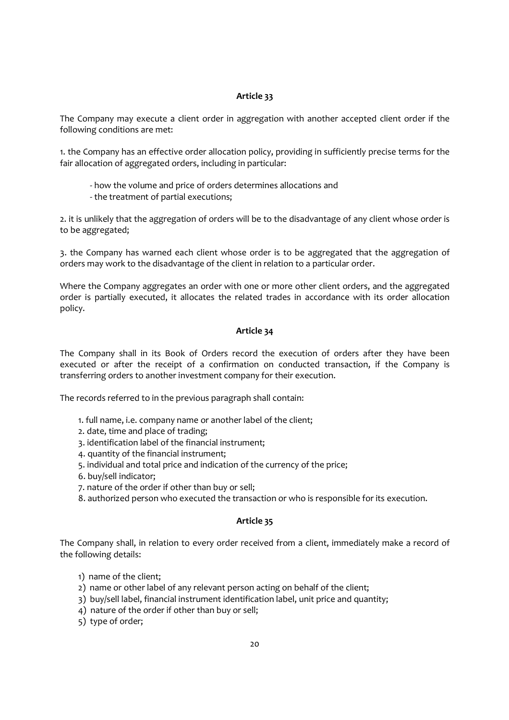#### Article 33

The Company may execute a client order in aggregation with another accepted client order if the following conditions are met:

1. the Company has an effective order allocation policy, providing in sufficiently precise terms for the fair allocation of aggregated orders, including in particular:

- how the volume and price of orders determines allocations and
- the treatment of partial executions;

2. it is unlikely that the aggregation of orders will be to the disadvantage of any client whose order is to be aggregated;

3. the Company has warned each client whose order is to be aggregated that the aggregation of orders may work to the disadvantage of the client in relation to a particular order.

Where the Company aggregates an order with one or more other client orders, and the aggregated order is partially executed, it allocates the related trades in accordance with its order allocation policy.

#### Article 34

The Company shall in its Book of Orders record the execution of orders after they have been executed or after the receipt of a confirmation on conducted transaction, if the Company is transferring orders to another investment company for their execution.

The records referred to in the previous paragraph shall contain:

- 1. full name, i.e. company name or another label of the client;
- 2. date, time and place of trading;
- 3. identification label of the financial instrument;
- 4. quantity of the financial instrument;
- 5. individual and total price and indication of the currency of the price;
- 6. buy/sell indicator;
- 7. nature of the order if other than buy or sell;
- 8. authorized person who executed the transaction or who is responsible for its execution.

#### Article 35

The Company shall, in relation to every order received from a client, immediately make a record of the following details:

- 1) name of the client;
- 2) name or other label of any relevant person acting on behalf of the client;
- 3) buy/sell label, financial instrument identification label, unit price and quantity;
- 4) nature of the order if other than buy or sell;
- 5) type of order;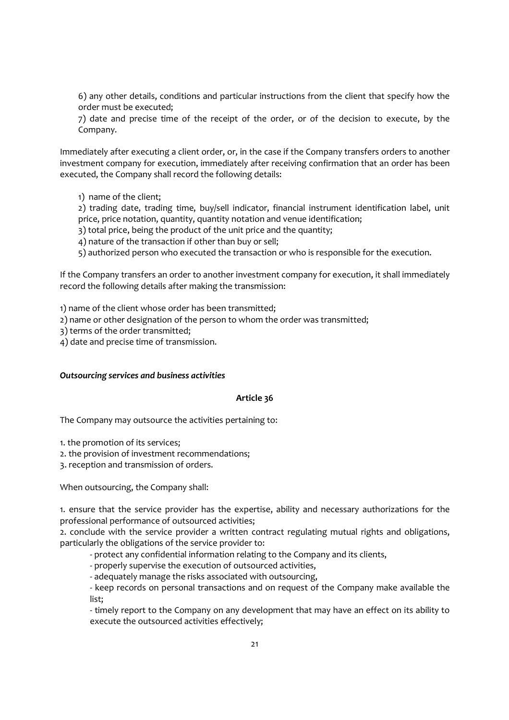6) any other details, conditions and particular instructions from the client that specify how the order must be executed;

7) date and precise time of the receipt of the order, or of the decision to execute, by the Company.

Immediately after executing a client order, or, in the case if the Company transfers orders to another investment company for execution, immediately after receiving confirmation that an order has been executed, the Company shall record the following details:

1) name of the client;

2) trading date, trading time, buy/sell indicator, financial instrument identification label, unit price, price notation, quantity, quantity notation and venue identification;

- 3) total price, being the product of the unit price and the quantity;
- 4) nature of the transaction if other than buy or sell;

5) authorized person who executed the transaction or who is responsible for the execution.

If the Company transfers an order to another investment company for execution, it shall immediately record the following details after making the transmission:

1) name of the client whose order has been transmitted;

2) name or other designation of the person to whom the order was transmitted;

3) terms of the order transmitted;

4) date and precise time of transmission.

#### Outsourcing services and business activities

#### Article 36

The Company may outsource the activities pertaining to:

1. the promotion of its services;

2. the provision of investment recommendations;

3. reception and transmission of orders.

When outsourcing, the Company shall:

1. ensure that the service provider has the expertise, ability and necessary authorizations for the professional performance of outsourced activities;

2. conclude with the service provider a written contract regulating mutual rights and obligations, particularly the obligations of the service provider to:

- protect any confidential information relating to the Company and its clients,

- properly supervise the execution of outsourced activities,
- adequately manage the risks associated with outsourcing,

- keep records on personal transactions and on request of the Company make available the list;

- timely report to the Company on any development that may have an effect on its ability to execute the outsourced activities effectively;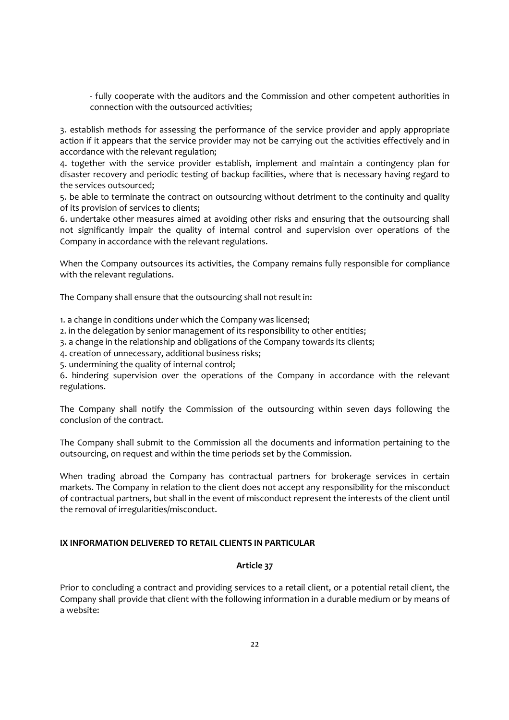- fully cooperate with the auditors and the Commission and other competent authorities in connection with the outsourced activities;

3. establish methods for assessing the performance of the service provider and apply appropriate action if it appears that the service provider may not be carrying out the activities effectively and in accordance with the relevant regulation;

4. together with the service provider establish, implement and maintain a contingency plan for disaster recovery and periodic testing of backup facilities, where that is necessary having regard to the services outsourced;

5. be able to terminate the contract on outsourcing without detriment to the continuity and quality of its provision of services to clients;

6. undertake other measures aimed at avoiding other risks and ensuring that the outsourcing shall not significantly impair the quality of internal control and supervision over operations of the Company in accordance with the relevant regulations.

When the Company outsources its activities, the Company remains fully responsible for compliance with the relevant regulations.

The Company shall ensure that the outsourcing shall not result in:

1. a change in conditions under which the Company was licensed;

2. in the delegation by senior management of its responsibility to other entities;

3. a change in the relationship and obligations of the Company towards its clients;

4. creation of unnecessary, additional business risks;

5. undermining the quality of internal control;

6. hindering supervision over the operations of the Company in accordance with the relevant regulations.

The Company shall notify the Commission of the outsourcing within seven days following the conclusion of the contract.

The Company shall submit to the Commission all the documents and information pertaining to the outsourcing, on request and within the time periods set by the Commission.

When trading abroad the Company has contractual partners for brokerage services in certain markets. The Company in relation to the client does not accept any responsibility for the misconduct of contractual partners, but shall in the event of misconduct represent the interests of the client until the removal of irregularities/misconduct.

# IX INFORMATION DELIVERED TO RETAIL CLIENTS IN PARTICULAR

# Article 37

Prior to concluding a contract and providing services to a retail client, or a potential retail client, the Company shall provide that client with the following information in a durable medium or by means of a website: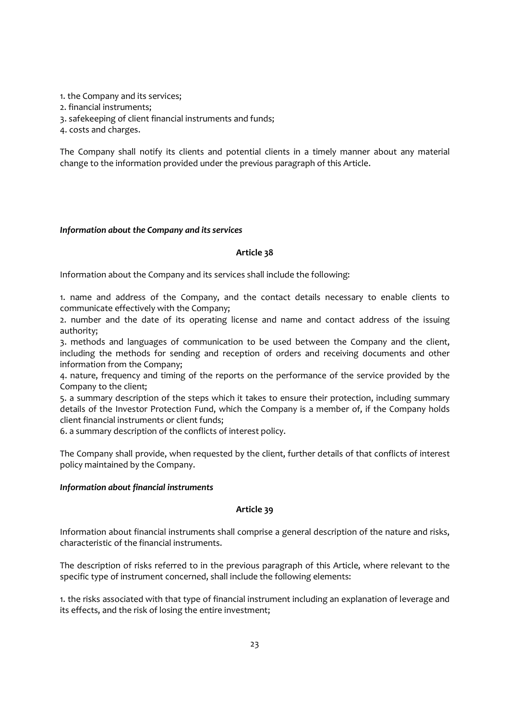- 1. the Company and its services;
- 2. financial instruments;
- 3. safekeeping of client financial instruments and funds;
- 4. costs and charges.

The Company shall notify its clients and potential clients in a timely manner about any material change to the information provided under the previous paragraph of this Article.

#### Information about the Company and its services

#### Article 38

Information about the Company and its services shall include the following:

1. name and address of the Company, and the contact details necessary to enable clients to communicate effectively with the Company;

2. number and the date of its operating license and name and contact address of the issuing authority;

3. methods and languages of communication to be used between the Company and the client, including the methods for sending and reception of orders and receiving documents and other information from the Company;

4. nature, frequency and timing of the reports on the performance of the service provided by the Company to the client;

5. a summary description of the steps which it takes to ensure their protection, including summary details of the Investor Protection Fund, which the Company is a member of, if the Company holds client financial instruments or client funds;

6. a summary description of the conflicts of interest policy.

The Company shall provide, when requested by the client, further details of that conflicts of interest policy maintained by the Company.

#### Information about financial instruments

# Article 39

Information about financial instruments shall comprise a general description of the nature and risks, characteristic of the financial instruments.

The description of risks referred to in the previous paragraph of this Article, where relevant to the specific type of instrument concerned, shall include the following elements:

1. the risks associated with that type of financial instrument including an explanation of leverage and its effects, and the risk of losing the entire investment;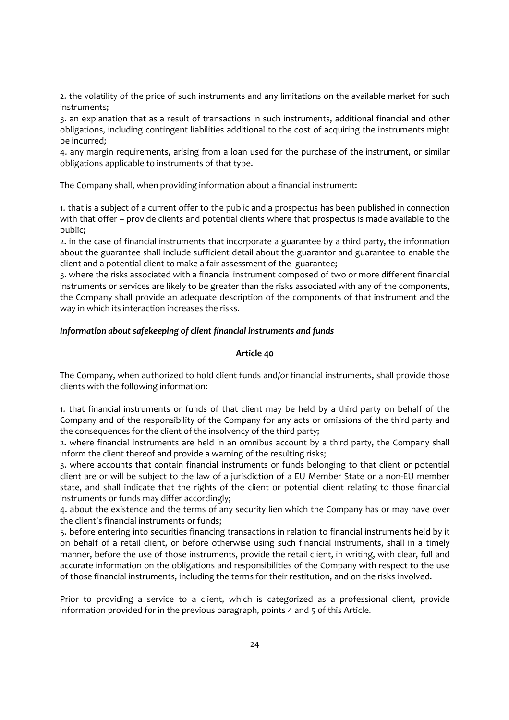2. the volatility of the price of such instruments and any limitations on the available market for such instruments;

3. an explanation that as a result of transactions in such instruments, additional financial and other obligations, including contingent liabilities additional to the cost of acquiring the instruments might be incurred;

4. any margin requirements, arising from a loan used for the purchase of the instrument, or similar obligations applicable to instruments of that type.

The Company shall, when providing information about a financial instrument:

1. that is a subject of a current offer to the public and a prospectus has been published in connection with that offer – provide clients and potential clients where that prospectus is made available to the public;

2. in the case of financial instruments that incorporate a guarantee by a third party, the information about the guarantee shall include sufficient detail about the guarantor and guarantee to enable the client and a potential client to make a fair assessment of the guarantee;

3. where the risks associated with a financial instrument composed of two or more different financial instruments or services are likely to be greater than the risks associated with any of the components, the Company shall provide an adequate description of the components of that instrument and the way in which its interaction increases the risks.

# Information about safekeeping of client financial instruments and funds

# Article 40

The Company, when authorized to hold client funds and/or financial instruments, shall provide those clients with the following information:

1. that financial instruments or funds of that client may be held by a third party on behalf of the Company and of the responsibility of the Company for any acts or omissions of the third party and the consequences for the client of the insolvency of the third party;

2. where financial instruments are held in an omnibus account by a third party, the Company shall inform the client thereof and provide a warning of the resulting risks;

3. where accounts that contain financial instruments or funds belonging to that client or potential client are or will be subject to the law of a jurisdiction of a EU Member State or a non-EU member state, and shall indicate that the rights of the client or potential client relating to those financial instruments or funds may differ accordingly;

4. about the existence and the terms of any security lien which the Company has or may have over the client's financial instruments or funds;

5. before entering into securities financing transactions in relation to financial instruments held by it on behalf of a retail client, or before otherwise using such financial instruments, shall in a timely manner, before the use of those instruments, provide the retail client, in writing, with clear, full and accurate information on the obligations and responsibilities of the Company with respect to the use of those financial instruments, including the terms for their restitution, and on the risks involved.

Prior to providing a service to a client, which is categorized as a professional client, provide information provided for in the previous paragraph, points 4 and 5 of this Article.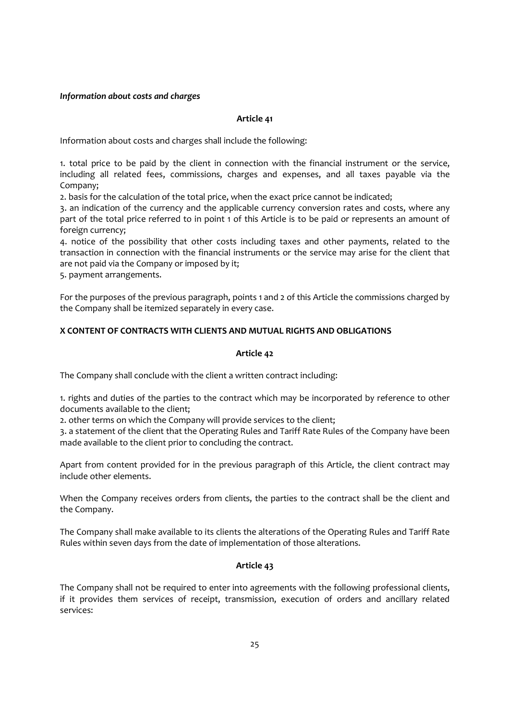# Information about costs and charges

#### Article 41

Information about costs and charges shall include the following:

1. total price to be paid by the client in connection with the financial instrument or the service, including all related fees, commissions, charges and expenses, and all taxes payable via the Company;

2. basis for the calculation of the total price, when the exact price cannot be indicated;

3. an indication of the currency and the applicable currency conversion rates and costs, where any part of the total price referred to in point 1 of this Article is to be paid or represents an amount of foreign currency;

4. notice of the possibility that other costs including taxes and other payments, related to the transaction in connection with the financial instruments or the service may arise for the client that are not paid via the Company or imposed by it;

5. payment arrangements.

For the purposes of the previous paragraph, points 1 and 2 of this Article the commissions charged by the Company shall be itemized separately in every case.

# X CONTENT OF CONTRACTS WITH CLIENTS AND MUTUAL RIGHTS AND OBLIGATIONS

#### Article 42

The Company shall conclude with the client a written contract including:

1. rights and duties of the parties to the contract which may be incorporated by reference to other documents available to the client;

2. other terms on which the Company will provide services to the client;

3. a statement of the client that the Operating Rules and Tariff Rate Rules of the Company have been made available to the client prior to concluding the contract.

Apart from content provided for in the previous paragraph of this Article, the client contract may include other elements.

When the Company receives orders from clients, the parties to the contract shall be the client and the Company.

The Company shall make available to its clients the alterations of the Operating Rules and Tariff Rate Rules within seven days from the date of implementation of those alterations.

# Article 43

The Company shall not be required to enter into agreements with the following professional clients, if it provides them services of receipt, transmission, execution of orders and ancillary related services: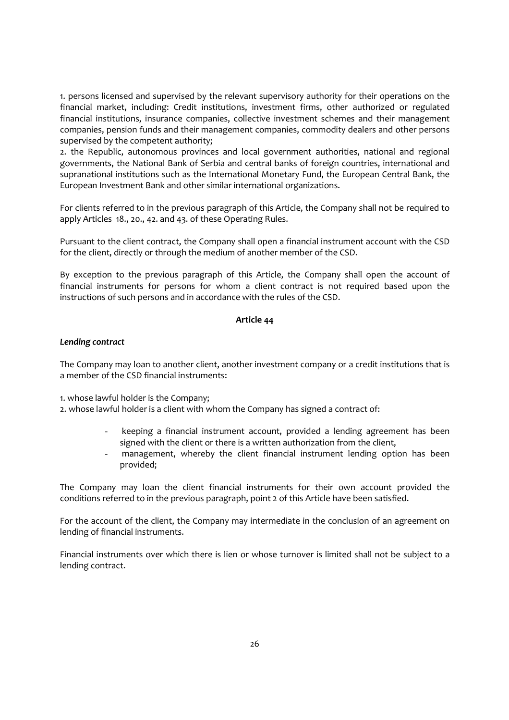1. persons licensed and supervised by the relevant supervisory authority for their operations on the financial market, including: Credit institutions, investment firms, other authorized or regulated financial institutions, insurance companies, collective investment schemes and their management companies, pension funds and their management companies, commodity dealers and other persons supervised by the competent authority;

2. the Republic, autonomous provinces and local government authorities, national and regional governments, the National Bank of Serbia and central banks of foreign countries, international and supranational institutions such as the International Monetary Fund, the European Central Bank, the European Investment Bank and other similar international organizations.

For clients referred to in the previous paragraph of this Article, the Company shall not be required to apply Articles 18., 20., 42. and 43. of these Operating Rules.

Pursuant to the client contract, the Company shall open a financial instrument account with the CSD for the client, directly or through the medium of another member of the CSD.

By exception to the previous paragraph of this Article, the Company shall open the account of financial instruments for persons for whom a client contract is not required based upon the instructions of such persons and in accordance with the rules of the CSD.

#### Article 44

# Lending contract

The Company may loan to another client, another investment company or a credit institutions that is a member of the CSD financial instruments:

1. whose lawful holder is the Company;

2. whose lawful holder is a client with whom the Company has signed a contract of:

- keeping a financial instrument account, provided a lending agreement has been signed with the client or there is a written authorization from the client,
- management, whereby the client financial instrument lending option has been provided;

The Company may loan the client financial instruments for their own account provided the conditions referred to in the previous paragraph, point 2 of this Article have been satisfied.

For the account of the client, the Company may intermediate in the conclusion of an agreement on lending of financial instruments.

Financial instruments over which there is lien or whose turnover is limited shall not be subject to a lending contract.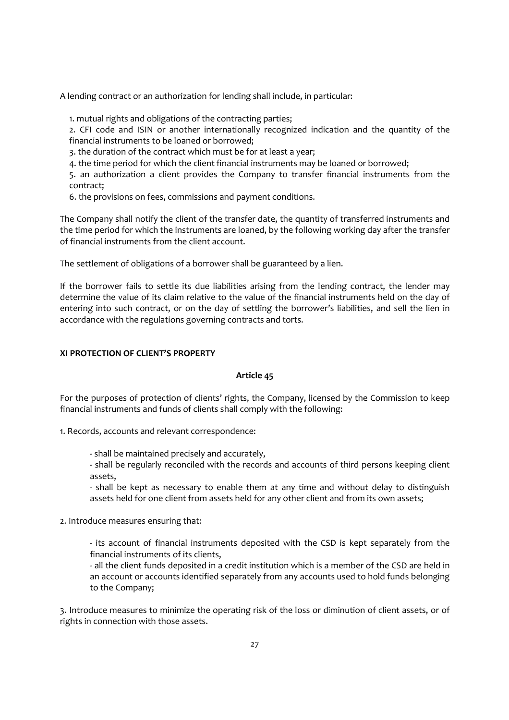A lending contract or an authorization for lending shall include, in particular:

1. mutual rights and obligations of the contracting parties;

2. CFI code and ISIN or another internationally recognized indication and the quantity of the financial instruments to be loaned or borrowed;

3. the duration of the contract which must be for at least a year;

4. the time period for which the client financial instruments may be loaned or borrowed;

5. an authorization a client provides the Company to transfer financial instruments from the contract;

6. the provisions on fees, commissions and payment conditions.

The Company shall notify the client of the transfer date, the quantity of transferred instruments and the time period for which the instruments are loaned, by the following working day after the transfer of financial instruments from the client account.

The settlement of obligations of a borrower shall be guaranteed by a lien.

If the borrower fails to settle its due liabilities arising from the lending contract, the lender may determine the value of its claim relative to the value of the financial instruments held on the day of entering into such contract, or on the day of settling the borrower's liabilities, and sell the lien in accordance with the regulations governing contracts and torts.

#### XI PROTECTION OF CLIENT'S PROPERTY

#### Article 45

For the purposes of protection of clients' rights, the Company, licensed by the Commission to keep financial instruments and funds of clients shall comply with the following:

1. Records, accounts and relevant correspondence:

- shall be maintained precisely and accurately,

- shall be regularly reconciled with the records and accounts of third persons keeping client assets,

- shall be kept as necessary to enable them at any time and without delay to distinguish assets held for one client from assets held for any other client and from its own assets;

2. Introduce measures ensuring that:

- its account of financial instruments deposited with the CSD is kept separately from the financial instruments of its clients,

- all the client funds deposited in a credit institution which is a member of the CSD are held in an account or accounts identified separately from any accounts used to hold funds belonging to the Company;

3. Introduce measures to minimize the operating risk of the loss or diminution of client assets, or of rights in connection with those assets.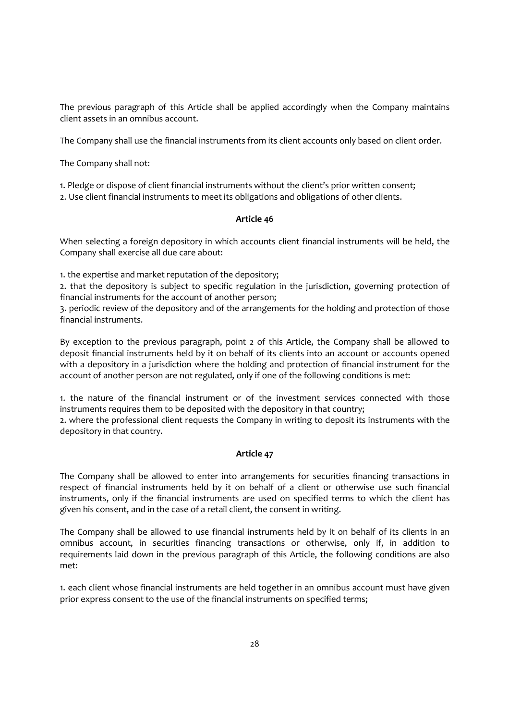The previous paragraph of this Article shall be applied accordingly when the Company maintains client assets in an omnibus account.

The Company shall use the financial instruments from its client accounts only based on client order.

The Company shall not:

1. Pledge or dispose of client financial instruments without the client's prior written consent;

2. Use client financial instruments to meet its obligations and obligations of other clients.

# Article 46

When selecting a foreign depository in which accounts client financial instruments will be held, the Company shall exercise all due care about:

1. the expertise and market reputation of the depository;

2. that the depository is subject to specific regulation in the jurisdiction, governing protection of financial instruments for the account of another person;

3. periodic review of the depository and of the arrangements for the holding and protection of those financial instruments.

By exception to the previous paragraph, point 2 of this Article, the Company shall be allowed to deposit financial instruments held by it on behalf of its clients into an account or accounts opened with a depository in a jurisdiction where the holding and protection of financial instrument for the account of another person are not regulated, only if one of the following conditions is met:

1. the nature of the financial instrument or of the investment services connected with those instruments requires them to be deposited with the depository in that country;

2. where the professional client requests the Company in writing to deposit its instruments with the depository in that country.

# Article 47

The Company shall be allowed to enter into arrangements for securities financing transactions in respect of financial instruments held by it on behalf of a client or otherwise use such financial instruments, only if the financial instruments are used on specified terms to which the client has given his consent, and in the case of a retail client, the consent in writing.

The Company shall be allowed to use financial instruments held by it on behalf of its clients in an omnibus account, in securities financing transactions or otherwise, only if, in addition to requirements laid down in the previous paragraph of this Article, the following conditions are also met:

1. each client whose financial instruments are held together in an omnibus account must have given prior express consent to the use of the financial instruments on specified terms;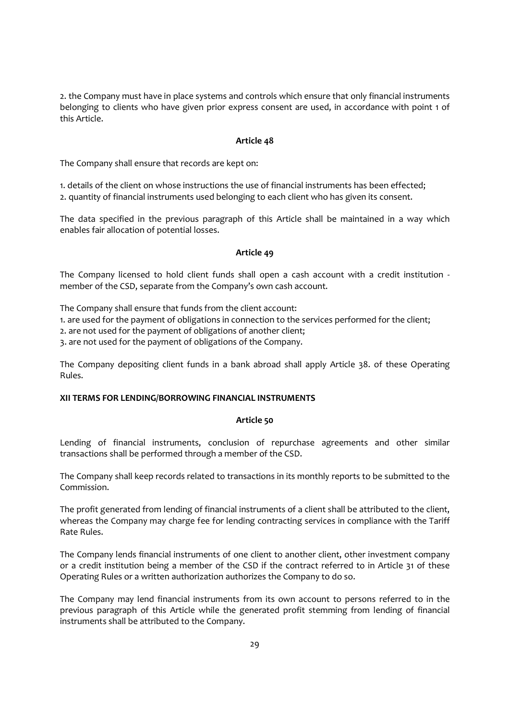2. the Company must have in place systems and controls which ensure that only financial instruments belonging to clients who have given prior express consent are used, in accordance with point 1 of this Article.

# Article 48

The Company shall ensure that records are kept on:

1. details of the client on whose instructions the use of financial instruments has been effected; 2. quantity of financial instruments used belonging to each client who has given its consent.

The data specified in the previous paragraph of this Article shall be maintained in a way which enables fair allocation of potential losses.

#### Article 49

The Company licensed to hold client funds shall open a cash account with a credit institution member of the CSD, separate from the Company's own cash account.

The Company shall ensure that funds from the client account:

1. are used for the payment of obligations in connection to the services performed for the client;

2. are not used for the payment of obligations of another client;

3. are not used for the payment of obligations of the Company.

The Company depositing client funds in a bank abroad shall apply Article 38. of these Operating Rules.

# XII TERMS FOR LENDING/BORROWING FINANCIAL INSTRUMENTS

# Article 50

Lending of financial instruments, conclusion of repurchase agreements and other similar transactions shall be performed through a member of the CSD.

The Company shall keep records related to transactions in its monthly reports to be submitted to the Commission.

The profit generated from lending of financial instruments of a client shall be attributed to the client, whereas the Company may charge fee for lending contracting services in compliance with the Tariff Rate Rules.

The Company lends financial instruments of one client to another client, other investment company or a credit institution being a member of the CSD if the contract referred to in Article 31 of these Operating Rules or a written authorization authorizes the Company to do so.

The Company may lend financial instruments from its own account to persons referred to in the previous paragraph of this Article while the generated profit stemming from lending of financial instruments shall be attributed to the Company.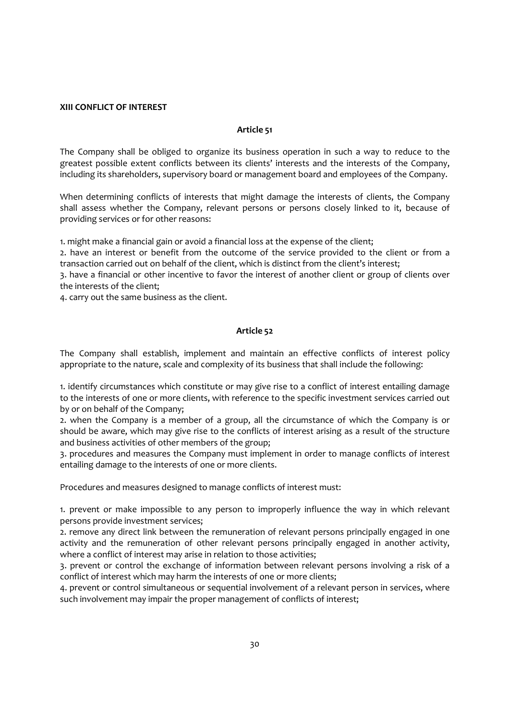# XIII CONFLICT OF INTEREST

#### Article 51

The Company shall be obliged to organize its business operation in such a way to reduce to the greatest possible extent conflicts between its clients' interests and the interests of the Company, including its shareholders, supervisory board or management board and employees of the Company.

When determining conflicts of interests that might damage the interests of clients, the Company shall assess whether the Company, relevant persons or persons closely linked to it, because of providing services or for other reasons:

1. might make a financial gain or avoid a financial loss at the expense of the client;

2. have an interest or benefit from the outcome of the service provided to the client or from a transaction carried out on behalf of the client, which is distinct from the client's interest;

3. have a financial or other incentive to favor the interest of another client or group of clients over the interests of the client;

4. carry out the same business as the client.

## Article 52

The Company shall establish, implement and maintain an effective conflicts of interest policy appropriate to the nature, scale and complexity of its business that shall include the following:

1. identify circumstances which constitute or may give rise to a conflict of interest entailing damage to the interests of one or more clients, with reference to the specific investment services carried out by or on behalf of the Company;

2. when the Company is a member of a group, all the circumstance of which the Company is or should be aware, which may give rise to the conflicts of interest arising as a result of the structure and business activities of other members of the group;

3. procedures and measures the Company must implement in order to manage conflicts of interest entailing damage to the interests of one or more clients.

Procedures and measures designed to manage conflicts of interest must:

1. prevent or make impossible to any person to improperly influence the way in which relevant persons provide investment services;

2. remove any direct link between the remuneration of relevant persons principally engaged in one activity and the remuneration of other relevant persons principally engaged in another activity, where a conflict of interest may arise in relation to those activities;

3. prevent or control the exchange of information between relevant persons involving a risk of a conflict of interest which may harm the interests of one or more clients;

4. prevent or control simultaneous or sequential involvement of a relevant person in services, where such involvement may impair the proper management of conflicts of interest;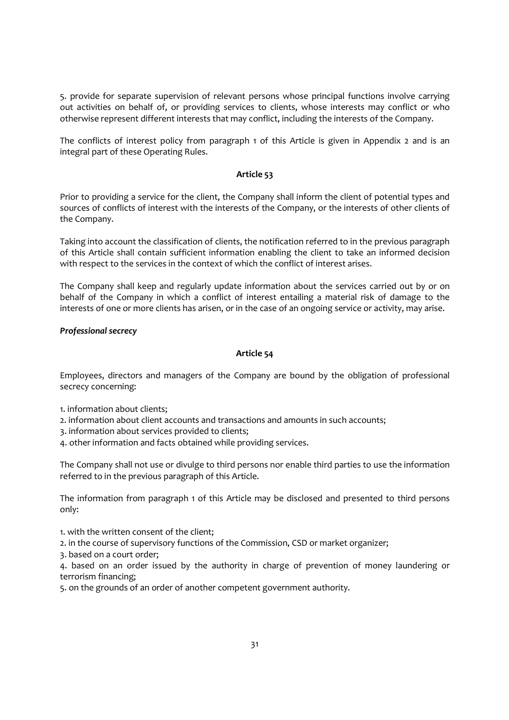5. provide for separate supervision of relevant persons whose principal functions involve carrying out activities on behalf of, or providing services to clients, whose interests may conflict or who otherwise represent different interests that may conflict, including the interests of the Company.

The conflicts of interest policy from paragraph 1 of this Article is given in Appendix 2 and is an integral part of these Operating Rules.

#### Article 53

Prior to providing a service for the client, the Company shall inform the client of potential types and sources of conflicts of interest with the interests of the Company, or the interests of other clients of the Company.

Taking into account the classification of clients, the notification referred to in the previous paragraph of this Article shall contain sufficient information enabling the client to take an informed decision with respect to the services in the context of which the conflict of interest arises.

The Company shall keep and regularly update information about the services carried out by or on behalf of the Company in which a conflict of interest entailing a material risk of damage to the interests of one or more clients has arisen, or in the case of an ongoing service or activity, may arise.

# Professional secrecy

#### Article 54

Employees, directors and managers of the Company are bound by the obligation of professional secrecy concerning:

- 1. information about clients;
- 2. information about client accounts and transactions and amounts in such accounts;
- 3. information about services provided to clients;
- 4. other information and facts obtained while providing services.

The Company shall not use or divulge to third persons nor enable third parties to use the information referred to in the previous paragraph of this Article.

The information from paragraph 1 of this Article may be disclosed and presented to third persons only:

1. with the written consent of the client;

- 2. in the course of supervisory functions of the Commission, CSD or market organizer;
- 3. based on a court order;

4. based on an order issued by the authority in charge of prevention of money laundering or terrorism financing;

5. on the grounds of an order of another competent government authority.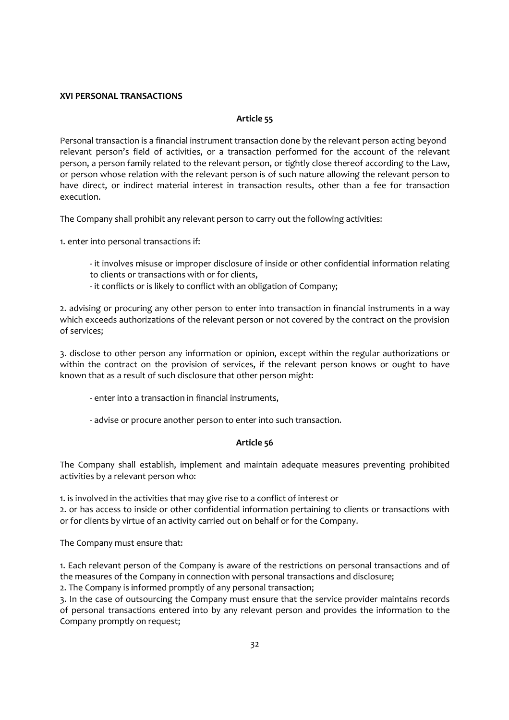# XVI PERSONAL TRANSACTIONS

# Article 55

Personal transaction is a financial instrument transaction done by the relevant person acting beyond relevant person's field of activities, or a transaction performed for the account of the relevant person, a person family related to the relevant person, or tightly close thereof according to the Law, or person whose relation with the relevant person is of such nature allowing the relevant person to have direct, or indirect material interest in transaction results, other than a fee for transaction execution.

The Company shall prohibit any relevant person to carry out the following activities:

1. enter into personal transactions if:

- it involves misuse or improper disclosure of inside or other confidential information relating to clients or transactions with or for clients,
- it conflicts or is likely to conflict with an obligation of Company;

2. advising or procuring any other person to enter into transaction in financial instruments in a way which exceeds authorizations of the relevant person or not covered by the contract on the provision of services;

3. disclose to other person any information or opinion, except within the regular authorizations or within the contract on the provision of services, if the relevant person knows or ought to have known that as a result of such disclosure that other person might:

- enter into a transaction in financial instruments,

- advise or procure another person to enter into such transaction.

# Article 56

The Company shall establish, implement and maintain adequate measures preventing prohibited activities by a relevant person who:

1. is involved in the activities that may give rise to a conflict of interest or

2. or has access to inside or other confidential information pertaining to clients or transactions with or for clients by virtue of an activity carried out on behalf or for the Company.

The Company must ensure that:

1. Each relevant person of the Company is aware of the restrictions on personal transactions and of the measures of the Company in connection with personal transactions and disclosure;

2. The Company is informed promptly of any personal transaction;

3. In the case of outsourcing the Company must ensure that the service provider maintains records of personal transactions entered into by any relevant person and provides the information to the Company promptly on request;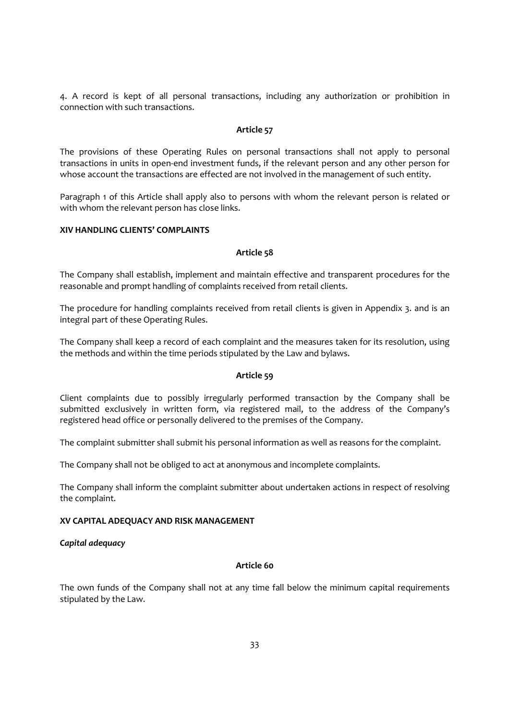4. A record is kept of all personal transactions, including any authorization or prohibition in connection with such transactions.

#### Article 57

The provisions of these Operating Rules on personal transactions shall not apply to personal transactions in units in open-end investment funds, if the relevant person and any other person for whose account the transactions are effected are not involved in the management of such entity.

Paragraph 1 of this Article shall apply also to persons with whom the relevant person is related or with whom the relevant person has close links.

# XIV HANDLING CLIENTS' COMPLAINTS

#### Article 58

The Company shall establish, implement and maintain effective and transparent procedures for the reasonable and prompt handling of complaints received from retail clients.

The procedure for handling complaints received from retail clients is given in Appendix 3. and is an integral part of these Operating Rules.

The Company shall keep a record of each complaint and the measures taken for its resolution, using the methods and within the time periods stipulated by the Law and bylaws.

#### Article 59

Client complaints due to possibly irregularly performed transaction by the Company shall be submitted exclusively in written form, via registered mail, to the address of the Company's registered head office or personally delivered to the premises of the Company.

The complaint submitter shall submit his personal information as well as reasons for the complaint.

The Company shall not be obliged to act at anonymous and incomplete complaints.

The Company shall inform the complaint submitter about undertaken actions in respect of resolving the complaint.

#### XV CAPITAL ADEQUACY AND RISK MANAGEMENT

#### Capital adequacy

# Article 60

The own funds of the Company shall not at any time fall below the minimum capital requirements stipulated by the Law.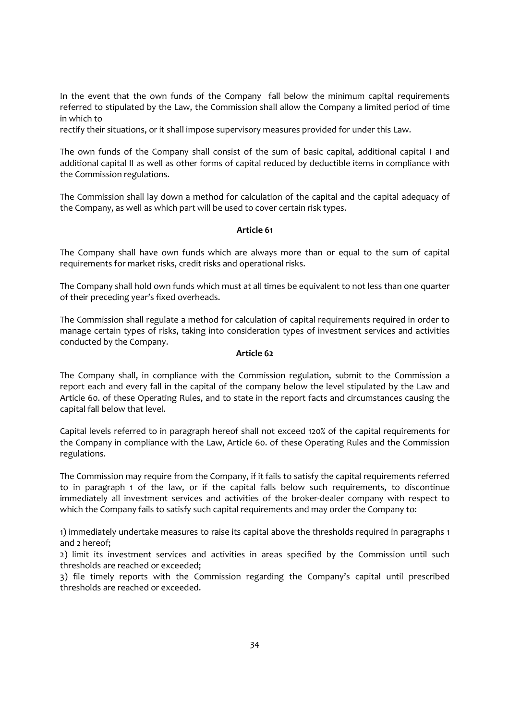In the event that the own funds of the Company fall below the minimum capital requirements referred to stipulated by the Law, the Commission shall allow the Company a limited period of time in which to

rectify their situations, or it shall impose supervisory measures provided for under this Law.

The own funds of the Company shall consist of the sum of basic capital, additional capital I and additional capital II as well as other forms of capital reduced by deductible items in compliance with the Commission regulations.

The Commission shall lay down a method for calculation of the capital and the capital adequacy of the Company, as well as which part will be used to cover certain risk types.

# Article 61

The Company shall have own funds which are always more than or equal to the sum of capital requirements for market risks, credit risks and operational risks.

The Company shall hold own funds which must at all times be equivalent to not less than one quarter of their preceding year's fixed overheads.

The Commission shall regulate a method for calculation of capital requirements required in order to manage certain types of risks, taking into consideration types of investment services and activities conducted by the Company.

# Article 62

The Company shall, in compliance with the Commission regulation, submit to the Commission a report each and every fall in the capital of the company below the level stipulated by the Law and Article 60. of these Operating Rules, and to state in the report facts and circumstances causing the capital fall below that level.

Capital levels referred to in paragraph hereof shall not exceed 120% of the capital requirements for the Company in compliance with the Law, Article 60. of these Operating Rules and the Commission regulations.

The Commission may require from the Company, if it fails to satisfy the capital requirements referred to in paragraph 1 of the law, or if the capital falls below such requirements, to discontinue immediately all investment services and activities of the broker-dealer company with respect to which the Company fails to satisfy such capital requirements and may order the Company to:

1) immediately undertake measures to raise its capital above the thresholds required in paragraphs 1 and 2 hereof;

2) limit its investment services and activities in areas specified by the Commission until such thresholds are reached or exceeded;

3) file timely reports with the Commission regarding the Company's capital until prescribed thresholds are reached or exceeded.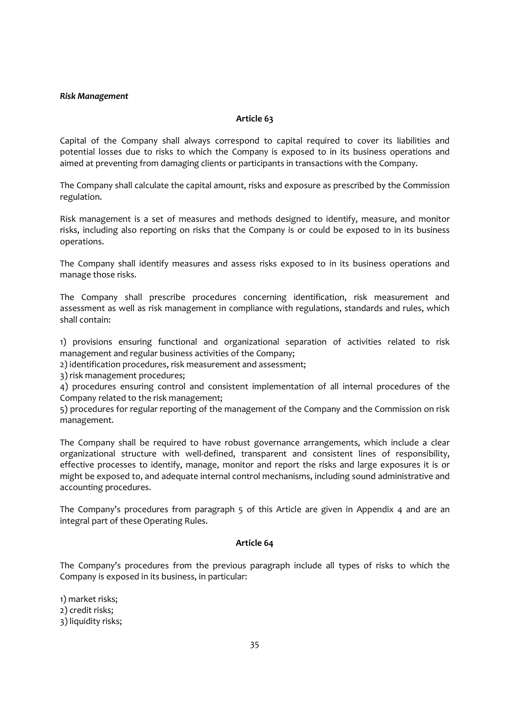#### Risk Management

# Article 63

Capital of the Company shall always correspond to capital required to cover its liabilities and potential losses due to risks to which the Company is exposed to in its business operations and aimed at preventing from damaging clients or participants in transactions with the Company.

The Company shall calculate the capital amount, risks and exposure as prescribed by the Commission regulation.

Risk management is a set of measures and methods designed to identify, measure, and monitor risks, including also reporting on risks that the Company is or could be exposed to in its business operations.

The Company shall identify measures and assess risks exposed to in its business operations and manage those risks.

The Company shall prescribe procedures concerning identification, risk measurement and assessment as well as risk management in compliance with regulations, standards and rules, which shall contain:

1) provisions ensuring functional and organizational separation of activities related to risk management and regular business activities of the Company;

2) identification procedures, risk measurement and assessment;

3) risk management procedures;

4) procedures ensuring control and consistent implementation of all internal procedures of the Company related to the risk management;

5) procedures for regular reporting of the management of the Company and the Commission on risk management.

The Company shall be required to have robust governance arrangements, which include a clear organizational structure with well-defined, transparent and consistent lines of responsibility, effective processes to identify, manage, monitor and report the risks and large exposures it is or might be exposed to, and adequate internal control mechanisms, including sound administrative and accounting procedures.

The Company's procedures from paragraph 5 of this Article are given in Appendix 4 and are an integral part of these Operating Rules.

# Article 64

The Company's procedures from the previous paragraph include all types of risks to which the Company is exposed in its business, in particular:

1) market risks; 2) credit risks; 3) liquidity risks;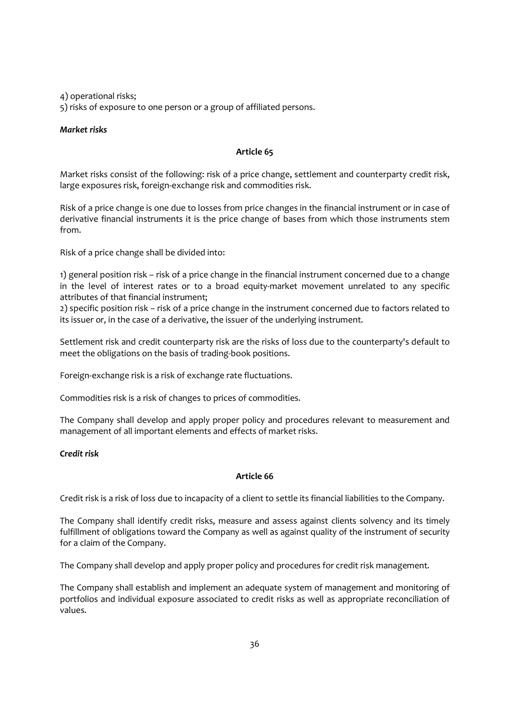4) operational risks;

5) risks of exposure to one person or a group of affiliated persons.

# Market risks

# Article 65

Market risks consist of the following: risk of a price change, settlement and counterparty credit risk, large exposures risk, foreign-exchange risk and commodities risk.

Risk of a price change is one due to losses from price changes in the financial instrument or in case of derivative financial instruments it is the price change of bases from which those instruments stem from.

Risk of a price change shall be divided into:

1) general position risk – risk of a price change in the financial instrument concerned due to a change in the level of interest rates or to a broad equity-market movement unrelated to any specific attributes of that financial instrument;

2) specific position risk – risk of a price change in the instrument concerned due to factors related to its issuer or, in the case of a derivative, the issuer of the underlying instrument.

Settlement risk and credit counterparty risk are the risks of loss due to the counterparty's default to meet the obligations on the basis of trading-book positions.

Foreign-exchange risk is a risk of exchange rate fluctuations.

Commodities risk is a risk of changes to prices of commodities.

The Company shall develop and apply proper policy and procedures relevant to measurement and management of all important elements and effects of market risks.

# Credit risk

# Article 66

Credit risk is a risk of loss due to incapacity of a client to settle its financial liabilities to the Company.

The Company shall identify credit risks, measure and assess against clients solvency and its timely fulfillment of obligations toward the Company as well as against quality of the instrument of security for a claim of the Company.

The Company shall develop and apply proper policy and procedures for credit risk management.

The Company shall establish and implement an adequate system of management and monitoring of portfolios and individual exposure associated to credit risks as well as appropriate reconciliation of values.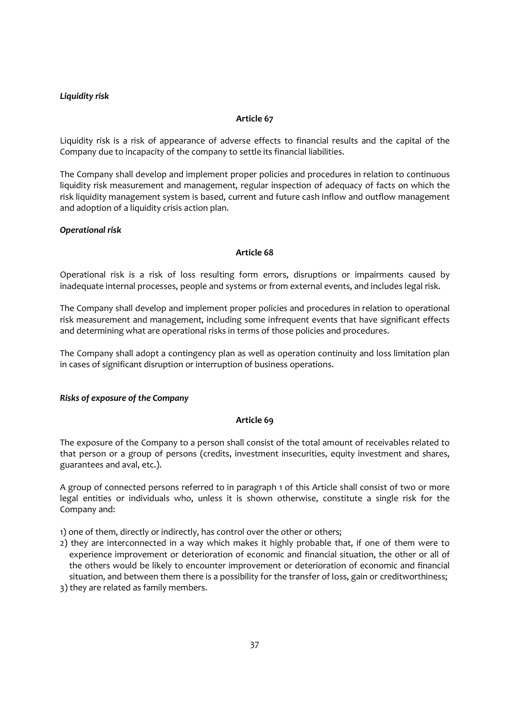# Liquidity risk

# Article 67

Liquidity risk is a risk of appearance of adverse effects to financial results and the capital of the Company due to incapacity of the company to settle its financial liabilities.

The Company shall develop and implement proper policies and procedures in relation to continuous liquidity risk measurement and management, regular inspection of adequacy of facts on which the risk liquidity management system is based, current and future cash inflow and outflow management and adoption of a liquidity crisis action plan.

#### Operational risk

#### Article 68

Operational risk is a risk of loss resulting form errors, disruptions or impairments caused by inadequate internal processes, people and systems or from external events, and includes legal risk.

The Company shall develop and implement proper policies and procedures in relation to operational risk measurement and management, including some infrequent events that have significant effects and determining what are operational risks in terms of those policies and procedures.

The Company shall adopt a contingency plan as well as operation continuity and loss limitation plan in cases of significant disruption or interruption of business operations.

#### Risks of exposure of the Company

## Article 69

The exposure of the Company to a person shall consist of the total amount of receivables related to that person or a group of persons (credits, investment insecurities, equity investment and shares, guarantees and aval, etc.).

A group of connected persons referred to in paragraph 1 of this Article shall consist of two or more legal entities or individuals who, unless it is shown otherwise, constitute a single risk for the Company and:

1) one of them, directly or indirectly, has control over the other or others;

- 2) they are interconnected in a way which makes it highly probable that, if one of them were to experience improvement or deterioration of economic and financial situation, the other or all of the others would be likely to encounter improvement or deterioration of economic and financial situation, and between them there is a possibility for the transfer of loss, gain or creditworthiness;
- 3) they are related as family members.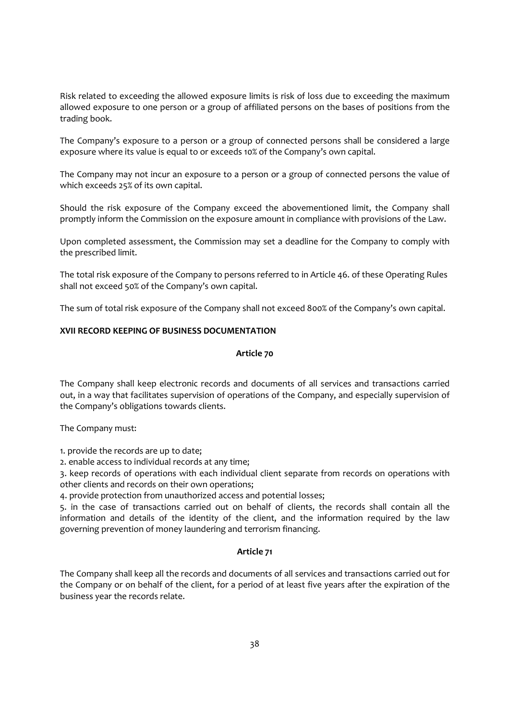Risk related to exceeding the allowed exposure limits is risk of loss due to exceeding the maximum allowed exposure to one person or a group of affiliated persons on the bases of positions from the trading book.

The Company's exposure to a person or a group of connected persons shall be considered a large exposure where its value is equal to or exceeds 10% of the Company's own capital.

The Company may not incur an exposure to a person or a group of connected persons the value of which exceeds 25% of its own capital.

Should the risk exposure of the Company exceed the abovementioned limit, the Company shall promptly inform the Commission on the exposure amount in compliance with provisions of the Law.

Upon completed assessment, the Commission may set a deadline for the Company to comply with the prescribed limit.

The total risk exposure of the Company to persons referred to in Article 46. of these Operating Rules shall not exceed 50% of the Company's own capital.

The sum of total risk exposure of the Company shall not exceed 800% of the Company's own capital.

#### XVII RECORD KEEPING OF BUSINESS DOCUMENTATION

#### Article 70

The Company shall keep electronic records and documents of all services and transactions carried out, in a way that facilitates supervision of operations of the Company, and especially supervision of the Company's obligations towards clients.

The Company must:

1. provide the records are up to date;

2. enable access to individual records at any time;

3. keep records of operations with each individual client separate from records on operations with other clients and records on their own operations;

4. provide protection from unauthorized access and potential losses;

5. in the case of transactions carried out on behalf of clients, the records shall contain all the information and details of the identity of the client, and the information required by the law governing prevention of money laundering and terrorism financing.

#### Article 71

The Company shall keep all the records and documents of all services and transactions carried out for the Company or on behalf of the client, for a period of at least five years after the expiration of the business year the records relate.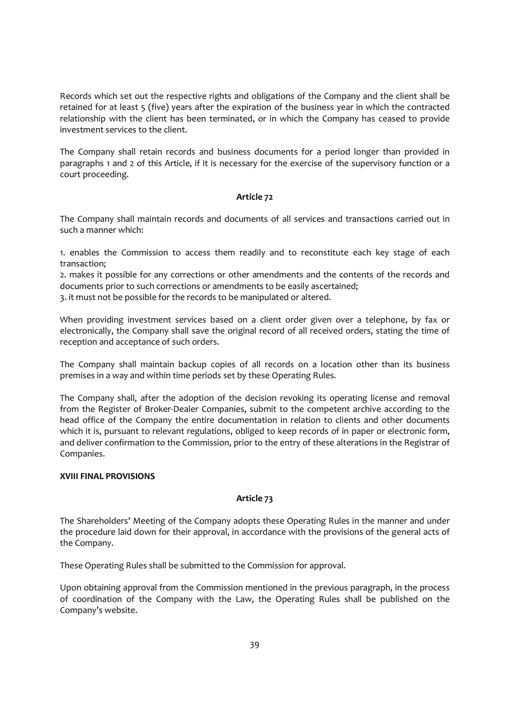Records which set out the respective rights and obligations of the Company and the client shall be retained for at least 5 (five) years after the expiration of the business year in which the contracted relationship with the client has been terminated, or in which the Company has ceased to provide investment services to the client.

The Company shall retain records and business documents for a period longer than provided in paragraphs 1 and 2 of this Article, if it is necessary for the exercise of the supervisory function or a court proceeding.

# Article 72

The Company shall maintain records and documents of all services and transactions carried out in such a manner which:

1. enables the Commission to access them readily and to reconstitute each key stage of each transaction;

2. makes it possible for any corrections or other amendments and the contents of the records and documents prior to such corrections or amendments to be easily ascertained;

3. it must not be possible for the records to be manipulated or altered.

When providing investment services based on a client order given over a telephone, by fax or electronically, the Company shall save the original record of all received orders, stating the time of reception and acceptance of such orders.

The Company shall maintain backup copies of all records on a location other than its business premises in a way and within time periods set by these Operating Rules.

The Company shall, after the adoption of the decision revoking its operating license and removal from the Register of Broker-Dealer Companies, submit to the competent archive according to the head office of the Company the entire documentation in relation to clients and other documents which it is, pursuant to relevant regulations, obliged to keep records of in paper or electronic form, and deliver confirmation to the Commission, prior to the entry of these alterations in the Registrar of Companies.

# XVIII FINAL PROVISIONS

# Article 73

The Shareholders' Meeting of the Company adopts these Operating Rules in the manner and under the procedure laid down for their approval, in accordance with the provisions of the general acts of the Company.

These Operating Rules shall be submitted to the Commission for approval.

Upon obtaining approval from the Commission mentioned in the previous paragraph, in the process of coordination of the Company with the Law, the Operating Rules shall be published on the Company's website.